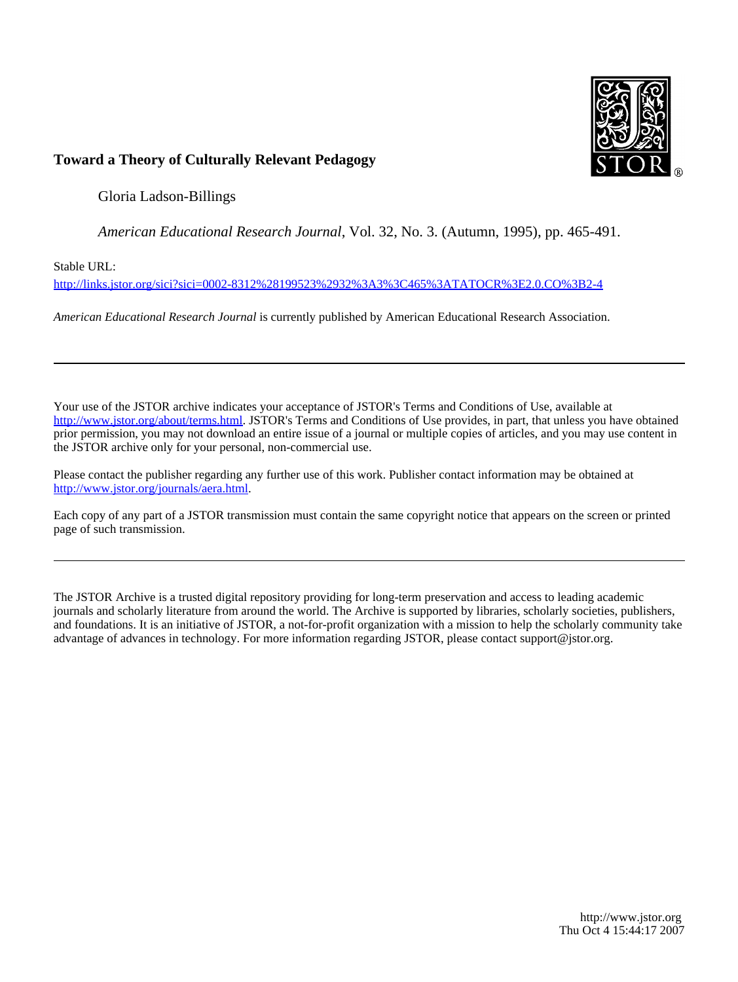

## **Toward a Theory of Culturally Relevant Pedagogy**

Gloria Ladson-Billings

*American Educational Research Journal*, Vol. 32, No. 3. (Autumn, 1995), pp. 465-491.

Stable URL:

<http://links.jstor.org/sici?sici=0002-8312%28199523%2932%3A3%3C465%3ATATOCR%3E2.0.CO%3B2-4>

*American Educational Research Journal* is currently published by American Educational Research Association.

Your use of the JSTOR archive indicates your acceptance of JSTOR's Terms and Conditions of Use, available at [http://www.jstor.org/about/terms.html.](http://www.jstor.org/about/terms.html) JSTOR's Terms and Conditions of Use provides, in part, that unless you have obtained prior permission, you may not download an entire issue of a journal or multiple copies of articles, and you may use content in the JSTOR archive only for your personal, non-commercial use.

Please contact the publisher regarding any further use of this work. Publisher contact information may be obtained at <http://www.jstor.org/journals/aera.html>.

Each copy of any part of a JSTOR transmission must contain the same copyright notice that appears on the screen or printed page of such transmission.

The JSTOR Archive is a trusted digital repository providing for long-term preservation and access to leading academic journals and scholarly literature from around the world. The Archive is supported by libraries, scholarly societies, publishers, and foundations. It is an initiative of JSTOR, a not-for-profit organization with a mission to help the scholarly community take advantage of advances in technology. For more information regarding JSTOR, please contact support@jstor.org.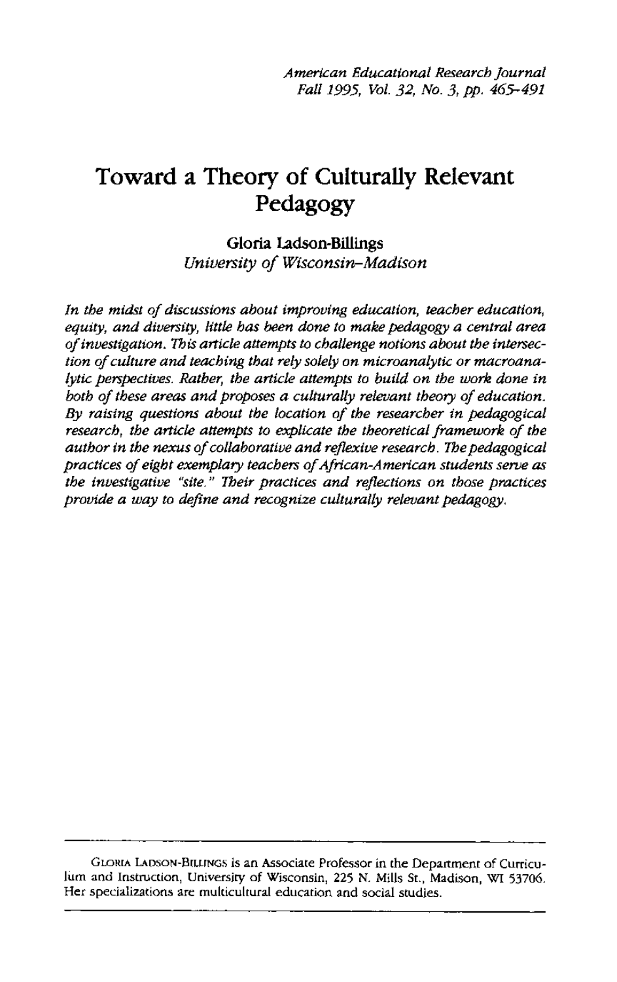## Toward a Theory of Culturally Relevant Pedagogy

## Gloria Ladson-Billings University of Wisconsin-Madison

In the midst of discussions about improving education, teacher education, equity, and diversity, little bas been done to make pedagogy a central area of investigation. This article attempts to challenge notions about the intersection of culture and teaching that rely solely on microanalytic or macroanalytic perspectives. Rather, the article attempts to build on the work done in both of these areas and proposes a culturally relevant theory of education. By raising questions about the location of the researcher in pedagogical research, the article attempts to explicate the theoretical framework of the author in the nexus of collaborative and reflexive research. The pedagogical practices of eight exemplary teachers of African-American students serve as the investigative "site." Their practices and reflections on those practices provide a way to define and recognize culturally relevant pedagogy.

GLORIA LADSON-BILLINGS is an Associate Professor in the Department of Curriculum and Instruction, University of Wisconsin, 225 N. Mills St., Madison, WI 53706. Her specializations are multicultural education and social studies.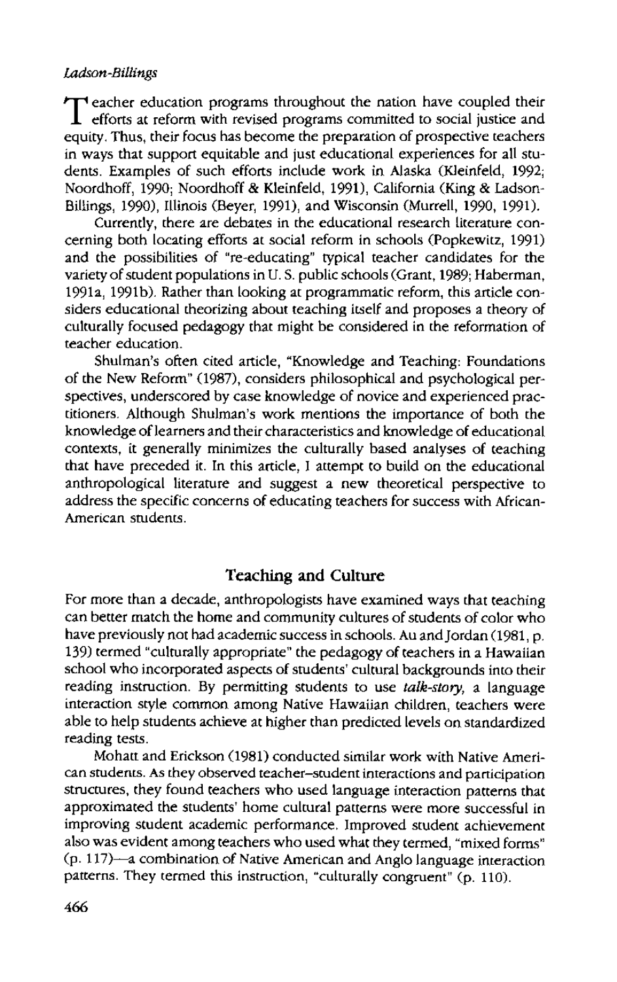T eacher education programs throughout the nation have coupled their  $\perp$  efforts at reform with revised programs committed to social justice and equity. Thus, their focus has become the preparation of prospective teachers in ways that support equitable and just educational experiences for all students. Examples of such efforts include work in Alaska (Kleinfeld, 1992; Noordhoff, 1990; Noordhoff & Kleinfeld, 1991), California (King & Ladson-Billings, 1990), Illinois (Beyer, 1991), and Wisconsin (Murrell, 1990, 1991).

Currently, there are debates in the educational research literature concerning both locating efforts at social reform in schools (Popkewitz, 1991) and the possibilities of "re-educating" typical teacher candidates for the variety of student populations in U.S. public schools (Grant, 1989; Haberman, 1991a, 1991b). Rather than looking at programmatic reform, this article considers educational theorizing about teaching itself and proposes a theory of culturally focused pedagogy that might be considered in the reformation of teacher education.

Shulman's often cited article, "Knowledge and Teaching: Foundations of the New Reform" (1987), considers philosophical and psychological perspectives, underscored by case knowledge of novice and experienced practitioners. Although Shulman's work mentions the importance of both the knowledge of learners and their characteristics and knowledge of educational contexts, it generally minimizes the culturally based analyses of teaching that have preceded it. In this article, I attempt to build on the educational anthropological literature and suggest a new theoretical perspective to address the specific concerns of educating teachers for success with African-American students.

### **Teaching and Culture**

For more than a decade, anthropologists have examined ways that teaching can better match the home and community cultures of students of color who have previously not had academic success in schools. Au and Jordan (1981, p. 139) termed "culturally appropriate" the pedagogy of teachers in a Hawaiian school who incorporated aspects of students' cultural backgrounds into their reading instruction. By permitting students to use talk-story, a language interaction style common among Native Hawaiian children, teachers were able to help students achieve at higher than predicted levels on standardized reading tests.

Mohatt and Erickson (1981) conducted similar work with Native American students. As they observed teacher-student interactions and participation structures, they found teachers who used language interaction patterns that approximated the students' home cultural patterns were more successful in improving student academic performance. Improved student achievement also was evident among teachers who used what they termed, "mixed forms" (p. 117)—a combination of Native American and Anglo language interaction patterns. They termed this instruction, "culturally congruent"  $(p. 110)$ .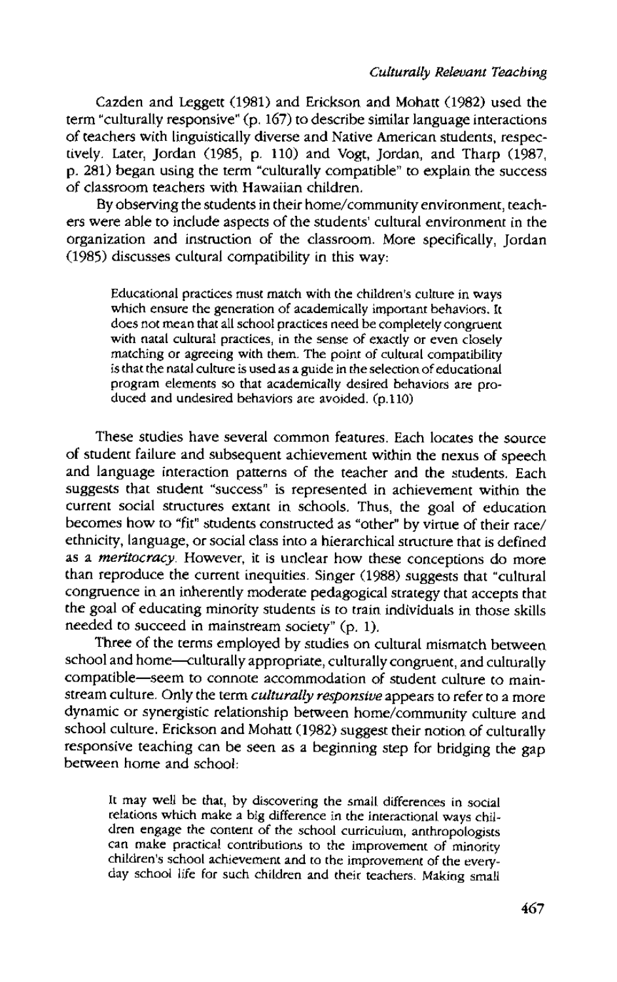Cazden and Leggett (1981) and Erickson and Mohatt (1982) used the term "culturally responsive" (p. 167) to describe similar language interactions of teachers with linguistically diverse and Native American students, respectively. Later, Jordan (1985, p. 110) and Vogt, Jordan, and Tharp (1987, p. 281) began using the term "culturally compatible" to explain the success of classroom teachers with Hawaiian children.

By observing the students in their home/community environment, teachers were able to include aspects of the students' cultural environment in the organization and instruction of the classroom. More specifically, Jordan (1985) discusses cultural compatibility in this way:

Educational practices must match with the children's culture in ways which ensure the generation of academically important behaviors. It does not mean that all school practices need be completely congruent with natal cultural practices, in the sense of exactly or even closely matching or agreeing with them. The point of cultural compatibility is that the natal culture is used as a guide in the selection of educational program elements so that academically desired behaviors are produced and undesired behaviors are avoided. (p.110)

These studies have several common features. Each locates the source of student failure and subsequent achievement within the nexus of speech and language interaction patterns of the teacher and the students. Each suggests that student "success" is represented in achievement within the current social structures extant in schools. Thus, the goal of education becomes how to "fit" students constructed as "other" by virtue of their race/ ethnicity, language, or social class into a hierarchical structure that is defined as a meritocracy. However, it is unclear how these conceptions do more than reproduce the current inequities. Singer (1988) suggests that "cultural congruence in an inherently moderate pedagogical strategy that accepts that the goal of educating minority students is to train individuals in those skills needed to succeed in mainstream society" (p. 1).

Three of the terms employed by studies on cultural mismatch between school and home—culturally appropriate, culturally congruent, and culturally compatible-seem to connote accommodation of student culture to mainstream culture. Only the term culturally responsive appears to refer to a more dynamic or synergistic relationship between home/community culture and school culture. Erickson and Mohatt (1982) suggest their notion of culturally responsive teaching can be seen as a beginning step for bridging the gap between home and school:

It may well be that, by discovering the small differences in social relations which make a big difference in the interactional ways children engage the content of the school curriculum, anthropologists can make practical contributions to the improvement of minority children's school achievement and to the improvement of the everyday school life for such children and their teachers. Making small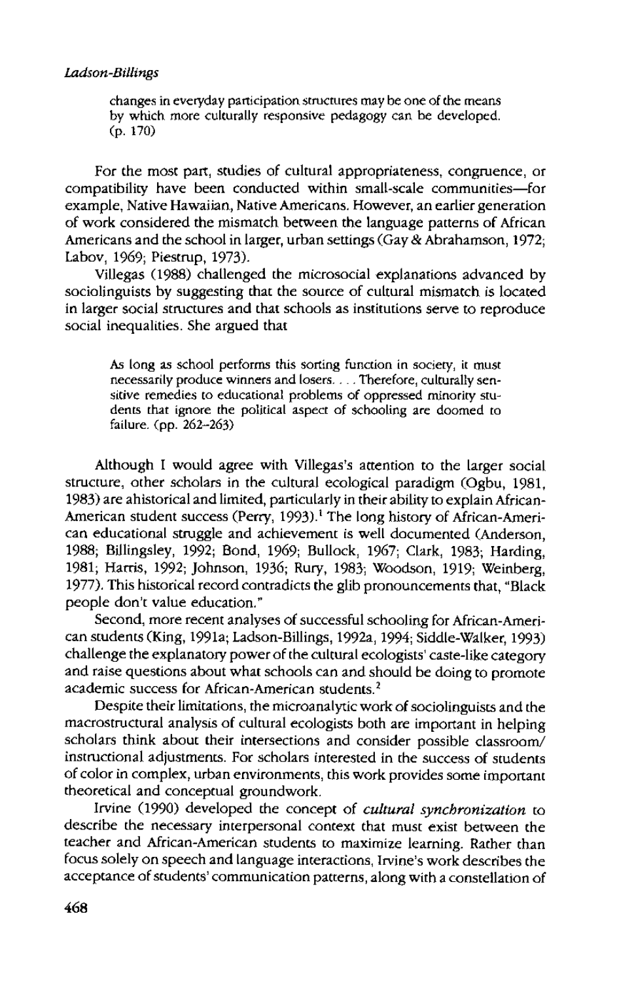changes in everyday participation structures may be one of the means by which more culturally responsive pedagogy can be developed.  $(p. 170)$ 

For the most part, studies of cultural appropriateness, congruence, or compatibility have been conducted within small-scale communities-for example, Native Hawaiian, Native Americans, However, an earlier generation of work considered the mismatch between the language patterns of African Americans and the school in larger, urban settings (Gay & Abrahamson, 1972; Labov, 1969; Piestrup, 1973).

Villegas (1988) challenged the microsocial explanations advanced by sociolinguists by suggesting that the source of cultural mismatch is located in larger social structures and that schools as institutions serve to reproduce social inequalities. She argued that

As long as school performs this sorting function in society, it must necessarily produce winners and losers.... Therefore, culturally sensitive remedies to educational problems of oppressed minority students that ignore the political aspect of schooling are doomed to failure. (pp. 262-263)

Although I would agree with Villegas's attention to the larger social structure, other scholars in the cultural ecological paradigm (Ogbu, 1981. 1983) are ahistorical and limited, particularly in their ability to explain African-American student success (Perry, 1993).<sup>1</sup> The long history of African-American educational struggle and achievement is well documented (Anderson, 1988; Billingsley, 1992; Bond, 1969; Bullock, 1967; Clark, 1983; Harding, 1981; Harris, 1992; Johnson, 1936; Rury, 1983; Woodson, 1919; Weinberg, 1977). This historical record contradicts the glib pronouncements that, "Black people don't value education."

Second, more recent analyses of successful schooling for African-American students (King, 1991a; Ladson-Billings, 1992a, 1994; Siddle-Walker, 1993) challenge the explanatory power of the cultural ecologists' caste-like category and raise questions about what schools can and should be doing to promote academic success for African-American students.<sup>2</sup>

Despite their limitations, the microanalytic work of sociolinguists and the macrostructural analysis of cultural ecologists both are important in helping scholars think about their intersections and consider possible classroom/ instructional adjustments. For scholars interested in the success of students of color in complex, urban environments, this work provides some important theoretical and conceptual groundwork.

Irvine (1990) developed the concept of cultural synchronization to describe the necessary interpersonal context that must exist between the teacher and African-American students to maximize learning. Rather than focus solely on speech and language interactions. Irvine's work describes the acceptance of students' communication patterns, along with a constellation of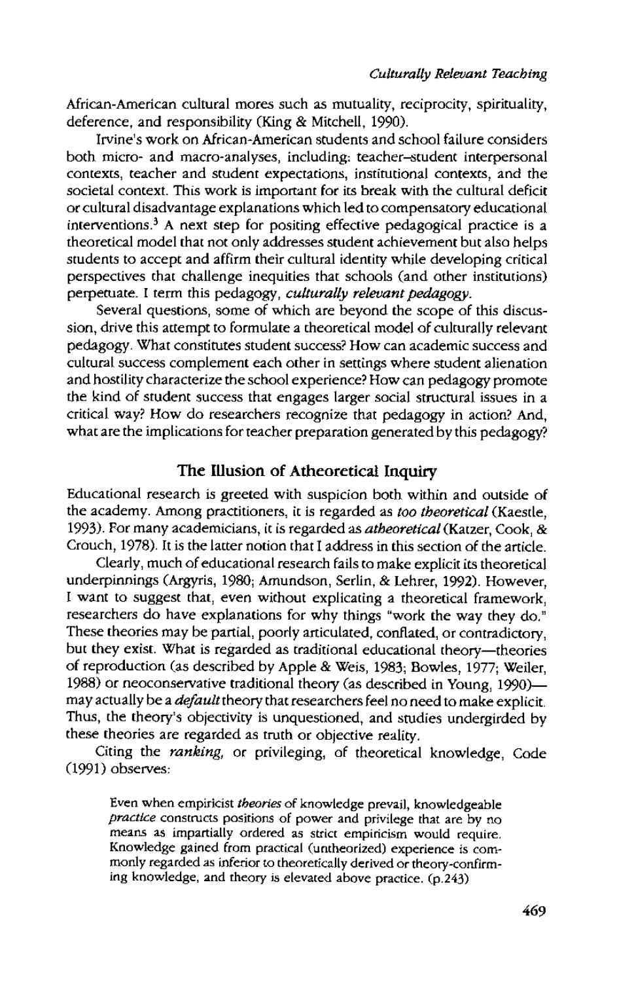African-American cultural mores such as mutuality, reciprocity, spirituality, deference, and responsibility (King & Mitchell, 1990).

Irvine's work on African-American students and school failure considers both micro- and macro-analyses, including: teacher-student interpersonal contexts, teacher and student expectations, institutional contexts, and the societal context. This work is important for its break with the cultural deficit or cultural disadvantage explanations which led to compensatory educational interventions.<sup>3</sup> A next step for positing effective pedagogical practice is a theoretical model that not only addresses student achievement but also helps students to accept and affirm their cultural identity while developing critical perspectives that challenge inequities that schools (and other institutions) perpetuate. I term this pedagogy, culturally relevant pedagogy.

Several questions, some of which are beyond the scope of this discussion, drive this attempt to formulate a theoretical model of culturally relevant pedagogy. What constitutes student success? How can academic success and cultural success complement each other in settings where student alienation and hostility characterize the school experience? How can pedagogy promote the kind of student success that engages larger social structural issues in a critical way? How do researchers recognize that pedagogy in action? And, what are the implications for teacher preparation generated by this pedagogy?

### The Illusion of Atheoretical Inquiry

Educational research is greeted with suspicion both within and outside of the academy. Among practitioners, it is regarded as too theoretical (Kaestle, 1993). For many academicians, it is regarded as *atheoretical* (Katzer, Cook, & Crouch, 1978). It is the latter notion that I address in this section of the article.

Clearly, much of educational research fails to make explicit its theoretical underpinnings (Argyris, 1980; Amundson, Serlin, & Lehrer, 1992). However, I want to suggest that, even without explicating a theoretical framework. researchers do have explanations for why things "work the way they do." These theories may be partial, poorly articulated, conflated, or contradictory. but they exist. What is regarded as traditional educational theory-theories of reproduction (as described by Apple & Weis, 1983; Bowles, 1977; Weiler, 1988) or neoconservative traditional theory (as described in Young, 1990)may actually be a *default* theory that researchers feel no need to make explicit. Thus, the theory's objectivity is unquestioned, and studies undergirded by these theories are regarded as truth or objective reality.

Citing the ranking, or privileging, of theoretical knowledge, Code  $(1991)$  observes:

Even when empiricist theories of knowledge prevail, knowledgeable practice constructs positions of power and privilege that are by no means as impartially ordered as strict empiricism would require. Knowledge gained from practical (untheorized) experience is commonly regarded as inferior to theoretically derived or theory-confirming knowledge, and theory is elevated above practice. (p.243)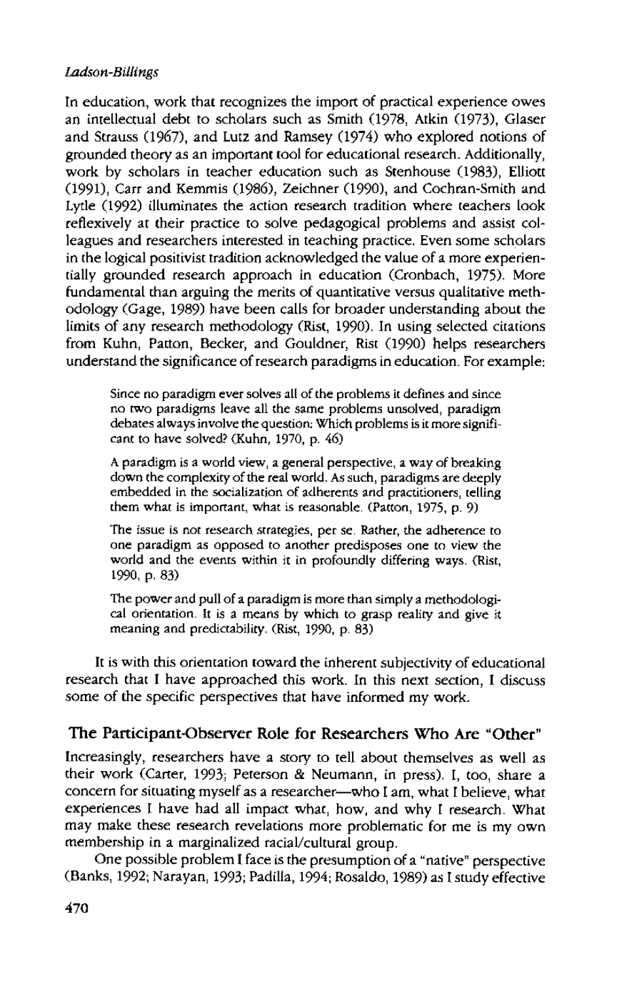In education, work that recognizes the import of practical experience owes an intellectual debt to scholars such as Smith (1978, Atkin (1973), Glaser and Strauss (1967), and Lutz and Ramsey (1974) who explored notions of grounded theory as an important tool for educational research. Additionally, work by scholars in teacher education such as Stenhouse (1983). Elliott (1991), Carr and Kemmis (1986), Zeichner (1990), and Cochran-Smith and Lytle (1992) illuminates the action research tradition where teachers look reflexively at their practice to solve pedagogical problems and assist colleagues and researchers interested in teaching practice. Even some scholars in the logical positivist tradition acknowledged the value of a more experientially grounded research approach in education (Cronbach, 1975). More fundamental than arguing the merits of quantitative versus qualitative methodology (Gage, 1989) have been calls for broader understanding about the limits of any research methodology (Rist, 1990). In using selected citations from Kuhn, Patton, Becker, and Gouldner, Rist (1990) helps researchers understand the significance of research paradigms in education. For example:

Since no paradigm ever solves all of the problems it defines and since no two paradigms leave all the same problems unsolved, paradigm debates always involve the question. Which problems is it more significant to have solved? (Kuhn, 1970, p. 46)

A paradigm is a world view, a general perspective, a way of breaking down the complexity of the real world. As such, paradigms are deeply embedded in the socialization of adherents and practitioners, telling them what is important, what is reasonable. (Patton, 1975, p. 9)

The issue is not research strategies, per se. Rather, the adherence to one paradigm as opposed to another predisposes one to view the world and the events within it in profoundly differing ways. (Rist, 1990, p. 83)

The power and pull of a paradigm is more than simply a methodological orientation. It is a means by which to grasp reality and give it meaning and predictability. (Rist, 1990, p. 83)

It is with this orientation toward the inherent subjectivity of educational research that I have approached this work. In this next section, I discuss some of the specific perspectives that have informed my work.

### The Participant-Observer Role for Researchers Who Are "Other"

Increasingly, researchers have a story to tell about themselves as well as their work (Carter, 1993; Peterson & Neumann, in press). I, too, share a concern for situating myself as a researcher-who I am, what I believe, what experiences I have had all impact what, how, and why I research. What may make these research revelations more problematic for me is my own membership in a marginalized racial/cultural group.

One possible problem I face is the presumption of a "native" perspective (Banks, 1992; Narayan, 1993; Padilla, 1994; Rosaldo, 1989) as I study effective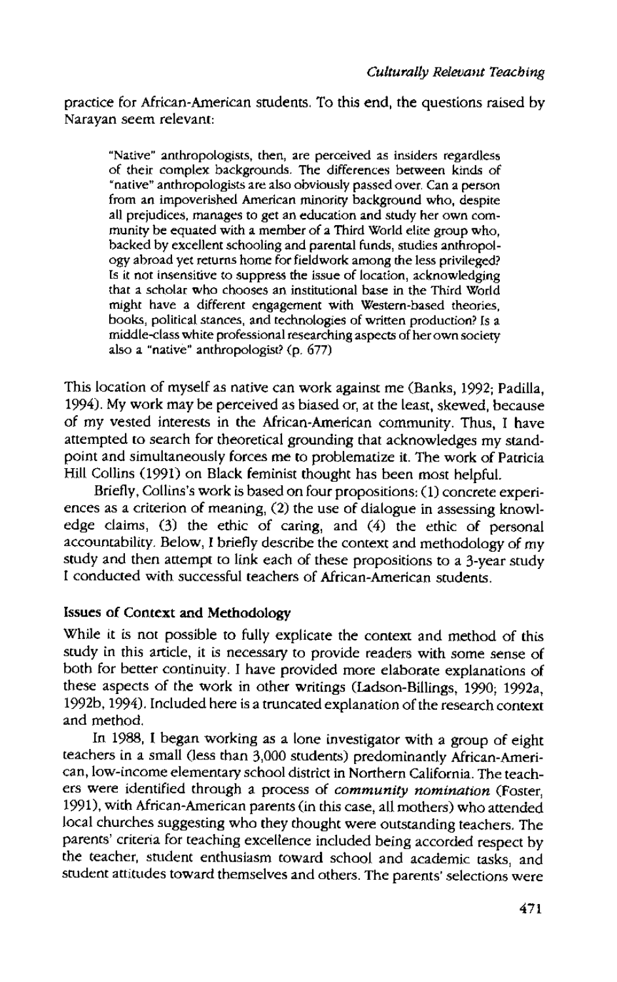practice for African-American students. To this end, the questions raised by Narayan seem relevant:

"Native" anthropologists, then, are perceived as insiders regardless of their complex backgrounds. The differences between kinds of "native" anthropologists are also obviously passed over. Can a person from an impoverished American minority background who, despite all prejudices, manages to get an education and study her own community be equated with a member of a Third World elite group who. backed by excellent schooling and parental funds, studies anthropology abroad yet returns home for fieldwork among the less privileged? Is it not insensitive to suppress the issue of location, acknowledging that a scholar who chooses an institutional base in the Third World might have a different engagement with Western-based theories, books, political stances, and technologies of written production? Is a middle-class white professional researching aspects of her own society also a "native" anthropologist? (p. 677)

This location of myself as native can work against me (Banks, 1992; Padilla, 1994). My work may be perceived as biased or, at the least, skewed, because of my vested interests in the African-American community. Thus, I have attempted to search for theoretical grounding that acknowledges my standpoint and simultaneously forces me to problematize it. The work of Patricia Hill Collins (1991) on Black feminist thought has been most helpful.

Briefly, Collins's work is based on four propositions: (1) concrete experiences as a criterion of meaning, (2) the use of dialogue in assessing knowledge claims, (3) the ethic of caring, and (4) the ethic of personal accountability. Below, I briefly describe the context and methodology of my study and then attempt to link each of these propositions to a 3-year study I conducted with successful teachers of African-American students.

### **Issues of Context and Methodology**

While it is not possible to fully explicate the context and method of this study in this article, it is necessary to provide readers with some sense of both for better continuity. I have provided more elaborate explanations of these aspects of the work in other writings (Ladson-Billings, 1990; 1992a, 1992b, 1994). Included here is a truncated explanation of the research context and method.

In 1988, I began working as a lone investigator with a group of eight teachers in a small (less than 3,000 students) predominantly African-American, low-income elementary school district in Northern California. The teachers were identified through a process of community nomination (Foster, 1991), with African-American parents (in this case, all mothers) who attended local churches suggesting who they thought were outstanding teachers. The parents' criteria for teaching excellence included being accorded respect by the teacher, student enthusiasm toward school and academic tasks, and student attitudes toward themselves and others. The parents' selections were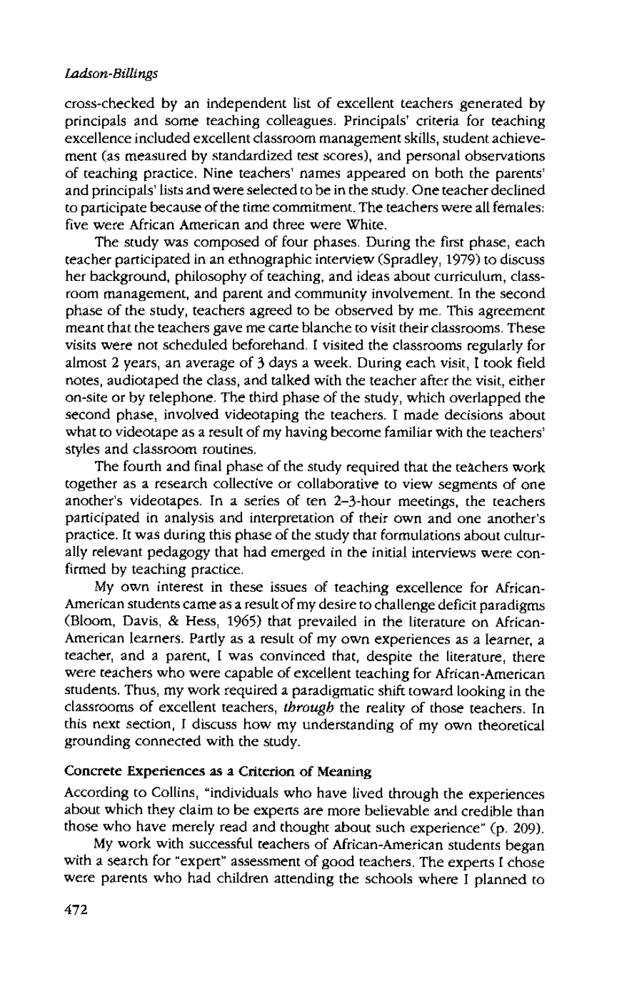cross-checked by an independent list of excellent teachers generated by principals and some teaching colleagues. Principals' criteria for teaching excellence included excellent classroom management skills, student achievement (as measured by standardized test scores), and personal observations of teaching practice. Nine teachers' names appeared on both the parents' and principals' lists and were selected to be in the study. One teacher declined to participate because of the time commitment. The teachers were all females: five were African American and three were White.

The study was composed of four phases. During the first phase, each teacher participated in an ethnographic interview (Spradley, 1979) to discuss her background, philosophy of teaching, and ideas about curriculum, classroom management, and parent and community involvement. In the second phase of the study, teachers agreed to be observed by me. This agreement meant that the teachers gave me carte blanche to visit their classrooms. These visits were not scheduled beforehand. I visited the classrooms regularly for almost 2 years, an average of 3 days a week. During each visit, I took field notes, audiotaped the class, and talked with the teacher after the visit, either on-site or by telephone. The third phase of the study, which overlapped the second phase, involved videotaping the teachers. I made decisions about what to videotape as a result of my having become familiar with the teachers' styles and classroom routines.

The fourth and final phase of the study required that the teachers work together as a research collective or collaborative to view segments of one another's videotapes. In a series of ten 2-3-hour meetings, the teachers participated in analysis and interpretation of their own and one another's practice. It was during this phase of the study that formulations about culturally relevant pedagogy that had emerged in the initial interviews were confirmed by teaching practice.

My own interest in these issues of teaching excellence for African-American students came as a result of my desire to challenge deficit paradigms (Bloom, Davis, & Hess, 1965) that prevailed in the literature on African-American learners. Partly as a result of my own experiences as a learner, a teacher, and a parent. I was convinced that, despite the literature, there were teachers who were capable of excellent teaching for African-American students. Thus, my work required a paradigmatic shift toward looking in the classrooms of excellent teachers, through the reality of those teachers. In this next section, I discuss how my understanding of my own theoretical grounding connected with the study.

### Concrete Experiences as a Criterion of Meaning

According to Collins, "individuals who have lived through the experiences about which they claim to be experts are more believable and credible than those who have merely read and thought about such experience" (p. 209).

My work with successful teachers of African-American students began with a search for "expert" assessment of good teachers. The experts I chose were parents who had children attending the schools where I planned to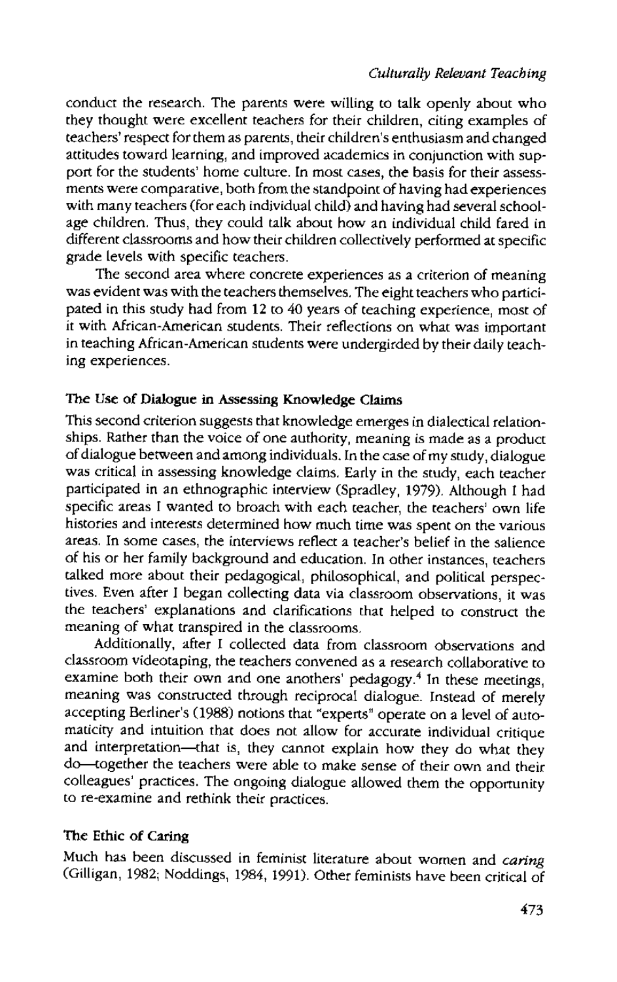conduct the research. The parents were willing to talk openly about who they thought were excellent teachers for their children, citing examples of teachers' respect for them as parents, their children's enthusiasm and changed attitudes toward learning, and improved academics in conjunction with support for the students' home culture. In most cases, the basis for their assessments were comparative, both from the standpoint of having had experiences with many teachers (for each individual child) and having had several schoolage children. Thus, they could talk about how an individual child fared in different classrooms and how their children collectively performed at specific grade levels with specific teachers.

The second area where concrete experiences as a criterion of meaning was evident was with the teachers themselves. The eight teachers who participated in this study had from 12 to 40 years of teaching experience, most of it with African-American students. Their reflections on what was important in teaching African-American students were undergirded by their daily teaching experiences.

### The Use of Dialogue in Assessing Knowledge Claims

This second criterion suggests that knowledge emerges in dialectical relationships. Rather than the voice of one authority, meaning is made as a product of dialogue between and among individuals. In the case of my study, dialogue was critical in assessing knowledge claims. Early in the study, each teacher participated in an ethnographic interview (Spradley, 1979). Although I had specific areas I wanted to broach with each teacher, the teachers' own life histories and interests determined how much time was spent on the various areas. In some cases, the interviews reflect a teacher's belief in the salience of his or her family background and education. In other instances, teachers talked more about their pedagogical, philosophical, and political perspectives. Even after I began collecting data via classroom observations, it was the teachers' explanations and clarifications that helped to construct the meaning of what transpired in the classrooms.

Additionally, after I collected data from classroom observations and classroom videotaping, the teachers convened as a research collaborative to examine both their own and one anothers' pedagogy.<sup>4</sup> In these meetings, meaning was constructed through reciprocal dialogue. Instead of merely accepting Berliner's (1988) notions that "experts" operate on a level of automaticity and intuition that does not allow for accurate individual critique and interpretation—that is, they cannot explain how they do what they do-together the teachers were able to make sense of their own and their colleagues' practices. The ongoing dialogue allowed them the opportunity to re-examine and rethink their practices.

### The Ethic of Caring

Much has been discussed in feminist literature about women and caring (Gilligan, 1982; Noddings, 1984, 1991). Other feminists have been critical of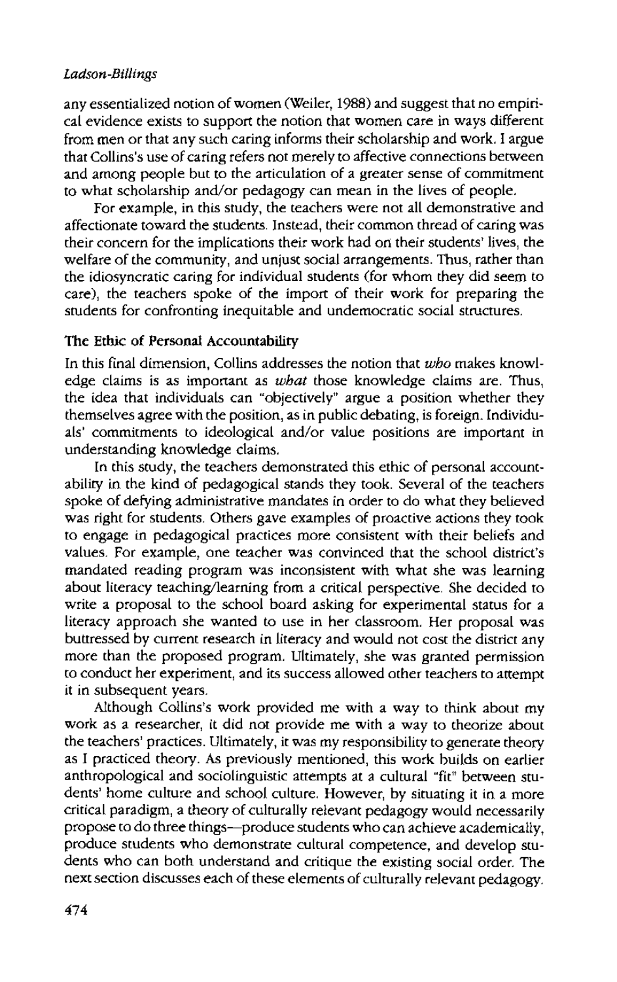any essentialized notion of women (Weiler, 1988) and suggest that no empirical evidence exists to support the notion that women care in ways different from men or that any such caring informs their scholarship and work. I argue that Collins's use of caring refers not merely to affective connections between and among people but to the articulation of a greater sense of commitment to what scholarship and/or pedagogy can mean in the lives of people.

For example, in this study, the teachers were not all demonstrative and affectionate toward the students. Instead, their common thread of caring was their concern for the implications their work had on their students' lives, the welfare of the community, and unjust social arrangements. Thus, rather than the idiosyncratic caring for individual students (for whom they did seem to care), the teachers spoke of the import of their work for preparing the students for confronting inequitable and undemocratic social structures.

### The Ethic of Personal Accountability

In this final dimension, Collins addresses the notion that who makes knowledge claims is as important as *what* those knowledge claims are. Thus, the idea that individuals can "objectively" argue a position whether they themselves agree with the position, as in public debating, is foreign. Individuals' commitments to ideological and/or value positions are important in understanding knowledge claims.

In this study, the teachers demonstrated this ethic of personal accountability in the kind of pedagogical stands they took. Several of the teachers spoke of defying administrative mandates in order to do what they believed was right for students. Others gave examples of proactive actions they took to engage in pedagogical practices more consistent with their beliefs and values. For example, one teacher was convinced that the school district's mandated reading program was inconsistent with what she was learning about literacy teaching/learning from a critical perspective. She decided to write a proposal to the school board asking for experimental status for a literacy approach she wanted to use in her classroom. Her proposal was buttressed by current research in literacy and would not cost the district any more than the proposed program. Ultimately, she was granted permission to conduct her experiment, and its success allowed other teachers to attempt it in subsequent years.

Although Collins's work provided me with a way to think about my work as a researcher, it did not provide me with a way to theorize about the teachers' practices. Ultimately, it was my responsibility to generate theory as I practiced theory. As previously mentioned, this work builds on earlier anthropological and sociolinguistic attempts at a cultural "fit" between students' home culture and school culture. However, by situating it in a more critical paradigm, a theory of culturally relevant pedagogy would necessarily propose to do three things-produce students who can achieve academically. produce students who demonstrate cultural competence, and develop students who can both understand and critique the existing social order. The next section discusses each of these elements of culturally relevant pedagogy.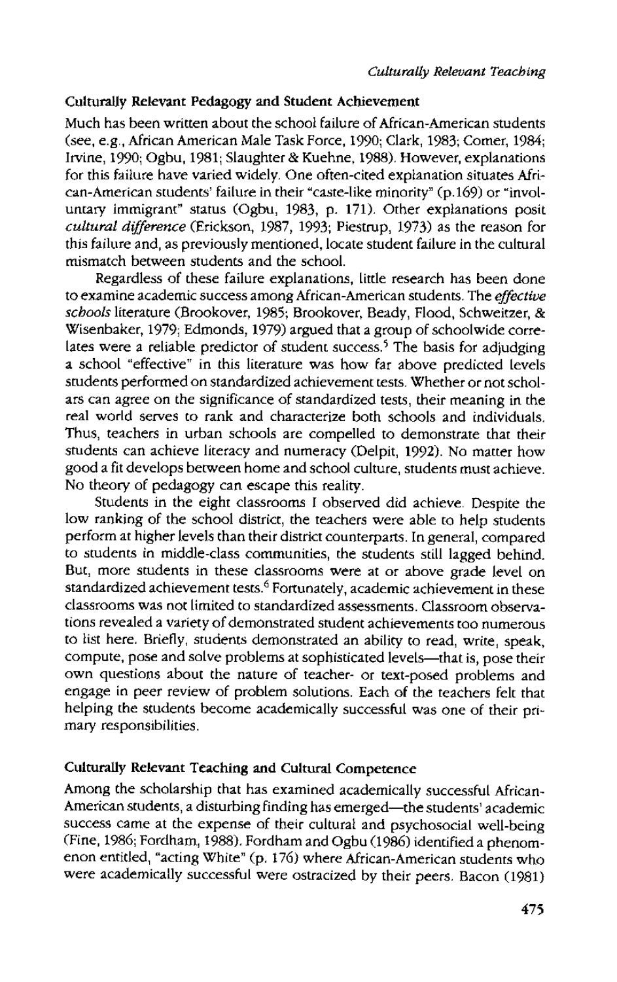### Culturally Relevant Pedagogy and Student Achievement

Much has been written about the school failure of African-American students (see, e.g., African American Male Task Force, 1990; Clark, 1983; Comer, 1984; Irvine, 1990; Ogbu, 1981; Slaughter & Kuehne, 1988). However, explanations for this failure have varied widely. One often-cited explanation situates African-American students' failure in their "caste-like minority" (p.169) or "involuntary immigrant" status (Ogbu, 1983, p. 171). Other explanations posit cultural difference (Erickson, 1987, 1993; Piestrup, 1973) as the reason for this failure and, as previously mentioned, locate student failure in the cultural mismatch between students and the school.

Regardless of these failure explanations, little research has been done to examine academic success among African-American students. The effective schools literature (Brookover, 1985; Brookover, Beady, Flood, Schweitzer, & Wisenbaker, 1979; Edmonds, 1979) argued that a group of schoolwide correlates were a reliable predictor of student success.<sup>5</sup> The basis for adjudging a school "effective" in this literature was how far above predicted levels students performed on standardized achievement tests. Whether or not scholars can agree on the significance of standardized tests, their meaning in the real world serves to rank and characterize both schools and individuals. Thus, teachers in urban schools are compelled to demonstrate that their students can achieve literacy and numeracy (Delpit, 1992). No matter how good a fit develops between home and school culture, students must achieve. No theory of pedagogy can escape this reality.

Students in the eight classrooms I observed did achieve. Despite the low ranking of the school district, the teachers were able to help students perform at higher levels than their district counterparts. In general, compared to students in middle-class communities, the students still lagged behind. But, more students in these classrooms were at or above grade level on standardized achievement tests.<sup>6</sup> Fortunately, academic achievement in these classrooms was not limited to standardized assessments. Classroom observations revealed a variety of demonstrated student achievements too numerous to list here. Briefly, students demonstrated an ability to read, write, speak, compute, pose and solve problems at sophisticated levels-that is, pose their own questions about the nature of teacher- or text-posed problems and engage in peer review of problem solutions. Each of the teachers felt that helping the students become academically successful was one of their primary responsibilities.

### Culturally Relevant Teaching and Cultural Competence

Among the scholarship that has examined academically successful African-American students, a disturbing finding has emerged—the students' academic success came at the expense of their cultural and psychosocial well-being (Fine, 1986: Fordham, 1988). Fordham and Ogbu (1986) identified a phenomenon entitled, "acting White" (p. 176) where African-American students who were academically successful were ostracized by their peers. Bacon (1981)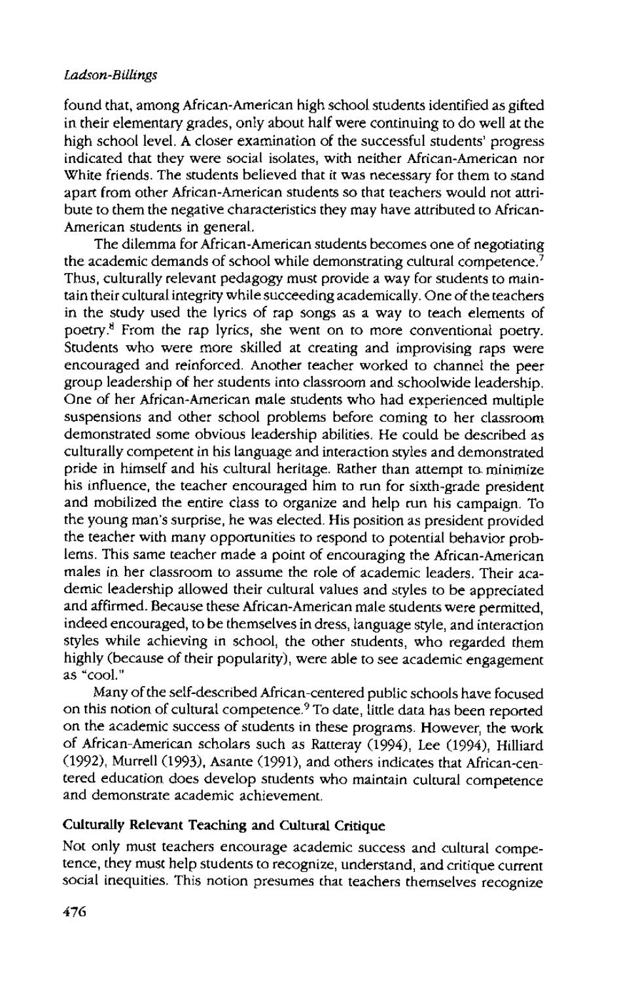found that, among African-American high school students identified as gifted in their elementary grades, only about half were continuing to do well at the high school level. A closer examination of the successful students' progress indicated that they were social isolates, with neither African-American nor White friends. The students believed that it was necessary for them to stand apart from other African-American students so that teachers would not attribute to them the negative characteristics they may have attributed to African-American students in general.

The dilemma for African-American students becomes one of negotiating the academic demands of school while demonstrating cultural competence. Thus, culturally relevant pedagogy must provide a way for students to maintain their cultural integrity while succeeding academically. One of the teachers in the study used the lyrics of rap songs as a way to teach elements of poetry.<sup>8</sup> From the rap lyrics, she went on to more conventional poetry. Students who were more skilled at creating and improvising raps were encouraged and reinforced. Another teacher worked to channel the peer group leadership of her students into classroom and schoolwide leadership. One of her African-American male students who had experienced multiple suspensions and other school problems before coming to her classroom demonstrated some obvious leadership abilities. He could be described as culturally competent in his language and interaction styles and demonstrated pride in himself and his cultural heritage. Rather than attempt to minimize his influence, the teacher encouraged him to run for sixth-grade president and mobilized the entire class to organize and help run his campaign. To the young man's surprise, he was elected. His position as president provided the teacher with many opportunities to respond to potential behavior problems. This same teacher made a point of encouraging the African-American males in her classroom to assume the role of academic leaders. Their academic leadership allowed their cultural values and styles to be appreciated and affirmed. Because these African-American male students were permitted, indeed encouraged, to be themselves in dress, language style, and interaction styles while achieving in school, the other students, who regarded them highly (because of their popularity), were able to see academic engagement as "cool."

Many of the self-described African-centered public schools have focused on this notion of cultural competence.<sup>9</sup> To date, little data has been reported on the academic success of students in these programs. However, the work of African-American scholars such as Ratteray (1994), Lee (1994), Hilliard (1992), Murrell (1993), Asante (1991), and others indicates that African-centered education does develop students who maintain cultural competence and demonstrate academic achievement.

### Culturally Relevant Teaching and Cultural Critique

Not only must teachers encourage academic success and cultural competence, they must help students to recognize, understand, and critique current social inequities. This notion presumes that teachers themselves recognize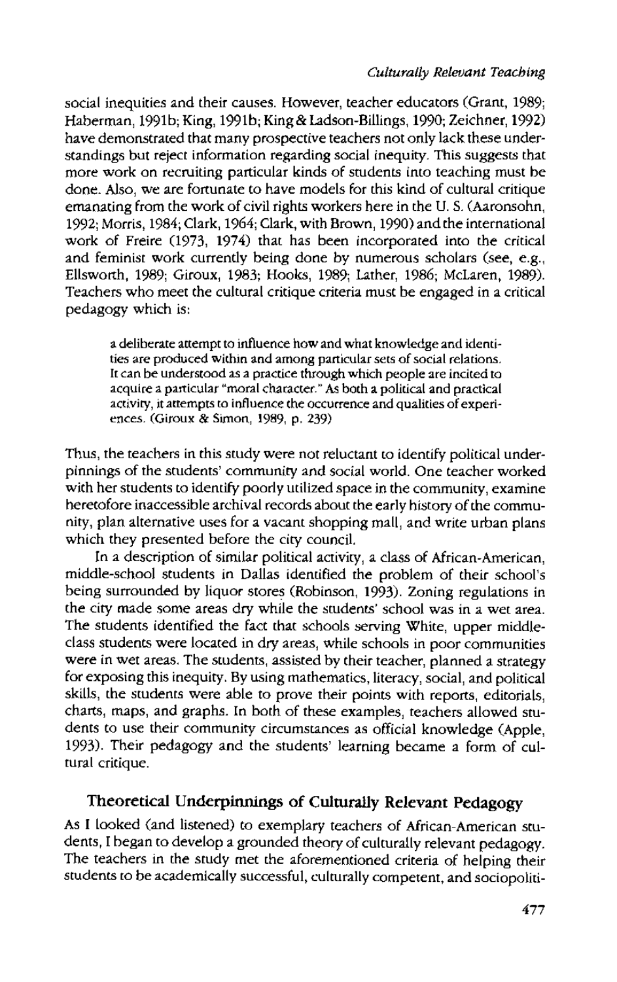social inequities and their causes. However, teacher educators (Grant, 1989; Haberman, 1991b; King, 1991b; King & Ladson-Billings, 1990; Zeichner, 1992) have demonstrated that many prospective teachers not only lack these understandings but reject information regarding social inequity. This suggests that more work on recruiting particular kinds of students into teaching must be done. Also, we are fortunate to have models for this kind of cultural critique emanating from the work of civil rights workers here in the U.S. (Aaronsohn, 1992; Morris, 1984; Clark, 1964; Clark, with Brown, 1990) and the international work of Freire (1973, 1974) that has been incorporated into the critical and feminist work currently being done by numerous scholars (see, e.g., Ellsworth, 1989; Giroux, 1983; Hooks, 1989; Lather, 1986; McLaren, 1989). Teachers who meet the cultural critique criteria must be engaged in a critical pedagogy which is:

a deliberate attempt to influence how and what knowledge and identities are produced within and among particular sets of social relations. It can be understood as a practice through which people are incited to acquire a particular "moral character." As both a political and practical activity, it attempts to influence the occurrence and qualities of experiences. (Giroux & Simon, 1989, p. 239)

Thus, the teachers in this study were not reluctant to identify political underpinnings of the students' community and social world. One teacher worked with her students to identify poorly utilized space in the community, examine heretofore inaccessible archival records about the early history of the community, plan alternative uses for a vacant shopping mall, and write urban plans which they presented before the city council.

In a description of similar political activity, a class of African-American, middle-school students in Dallas identified the problem of their school's being surrounded by liquor stores (Robinson, 1993). Zoning regulations in the city made some areas dry while the students' school was in a wet area. The students identified the fact that schools serving White, upper middleclass students were located in dry areas, while schools in poor communities were in wet areas. The students, assisted by their teacher, planned a strategy for exposing this inequity. By using mathematics, literacy, social, and political skills, the students were able to prove their points with reports, editorials, charts, maps, and graphs. In both of these examples, teachers allowed students to use their community circumstances as official knowledge (Apple, 1993). Their pedagogy and the students' learning became a form of cultural critique.

### Theoretical Underpinnings of Culturally Relevant Pedagogy

As I looked (and listened) to exemplary teachers of African-American students, I began to develop a grounded theory of culturally relevant pedagogy. The teachers in the study met the aforementioned criteria of helping their students to be academically successful, culturally competent, and sociopoliti-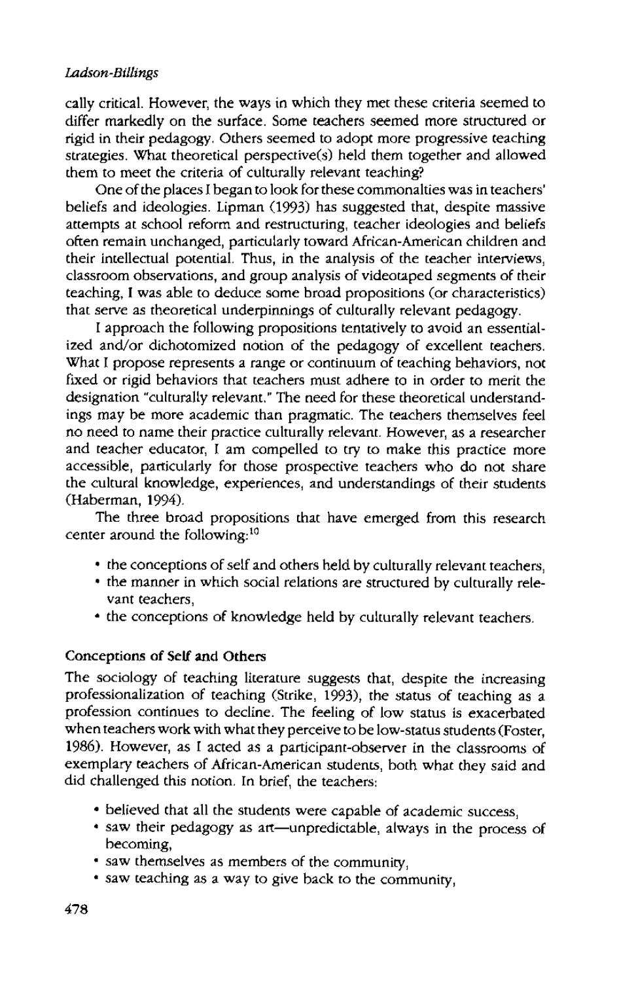cally critical. However, the ways in which they met these criteria seemed to differ markedly on the surface. Some teachers seemed more structured or rigid in their pedagogy. Others seemed to adopt more progressive teaching strategies. What theoretical perspective(s) held them together and allowed them to meet the criteria of culturally relevant teaching?

One of the places I began to look for these commonalties was in teachers' beliefs and ideologies. Lipman (1993) has suggested that, despite massive attempts at school reform and restructuring, teacher ideologies and beliefs often remain unchanged, particularly toward African-American children and their intellectual potential. Thus, in the analysis of the teacher interviews, classroom observations, and group analysis of videotaped segments of their teaching, I was able to deduce some broad propositions (or characteristics) that serve as theoretical underpinnings of culturally relevant pedagogy.

I approach the following propositions tentatively to avoid an essentialized and/or dichotomized notion of the pedagogy of excellent teachers. What I propose represents a range or continuum of teaching behaviors, not fixed or rigid behaviors that teachers must adhere to in order to merit the designation "culturally relevant." The need for these theoretical understandings may be more academic than pragmatic. The teachers themselves feel no need to name their practice culturally relevant. However, as a researcher and teacher educator, I am compelled to try to make this practice more accessible, particularly for those prospective teachers who do not share the cultural knowledge, experiences, and understandings of their students (Haberman, 1994).

The three broad propositions that have emerged from this research center around the following:<sup>10</sup>

- the conceptions of self and others held by culturally relevant teachers.
- the manner in which social relations are structured by culturally relevant teachers.
- the conceptions of knowledge held by culturally relevant teachers.

### Conceptions of Self and Others

The sociology of teaching literature suggests that, despite the increasing professionalization of teaching (Strike, 1993), the status of teaching as a profession continues to decline. The feeling of low status is exacerbated when teachers work with what they perceive to be low-status students (Foster, 1986). However, as I acted as a participant-observer in the classrooms of exemplary teachers of African-American students, both what they said and did challenged this notion. In brief, the teachers:

- believed that all the students were capable of academic success.
- · saw their pedagogy as art-unpredictable, always in the process of becoming.
- · saw themselves as members of the community,
- saw teaching as a way to give back to the community.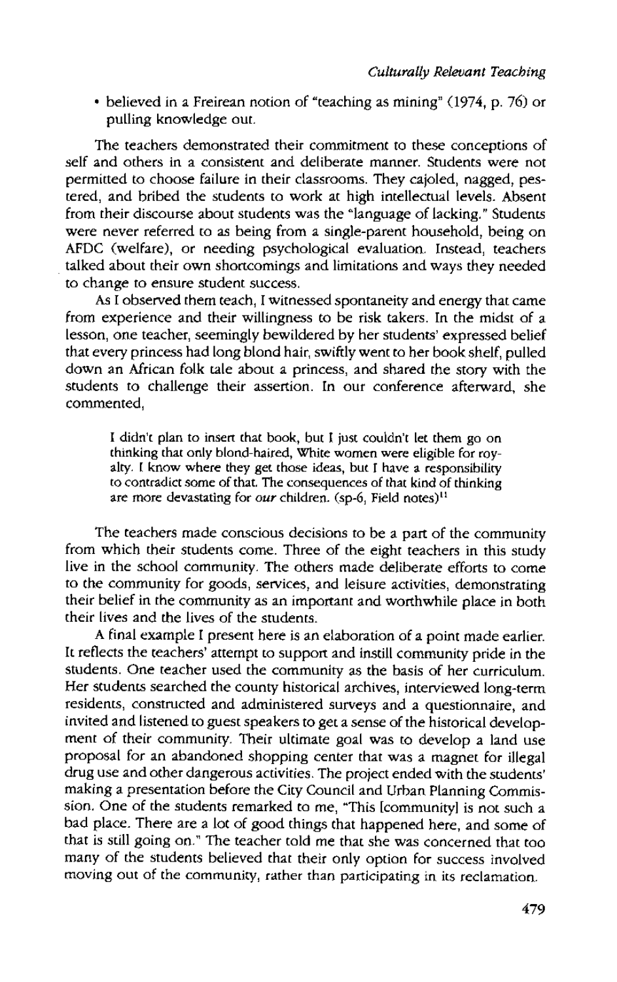• believed in a Freirean notion of "teaching as mining"  $(1974, p. 76)$  or pulling knowledge out.

The teachers demonstrated their commitment to these conceptions of self and others in a consistent and deliberate manner. Students were not permitted to choose failure in their classrooms. They cajoled, nagged, pestered, and bribed the students to work at high intellectual levels. Absent from their discourse about students was the "language of lacking." Students were never referred to as being from a single-parent household, being on AFDC (welfare), or needing psychological evaluation. Instead, teachers talked about their own shortcomings and limitations and ways they needed to change to ensure student success.

As I observed them teach. I witnessed spontaneity and energy that came from experience and their willingness to be risk takers. In the midst of a lesson, one teacher, seemingly bewildered by her students' expressed belief that every princess had long blond hair, swiftly went to her book shelf, pulled down an African folk tale about a princess, and shared the story with the students to challenge their assertion. In our conference afterward, she commented.

I didn't plan to insert that book, but I just couldn't let them go on thinking that only blond-haired, White women were eligible for royalty. I know where they get those ideas, but I have a responsibility to contradict some of that. The consequences of that kind of thinking are more devastating for our children. (sp-6, Field notes)<sup>11</sup>

The teachers made conscious decisions to be a part of the community from which their students come. Three of the eight teachers in this study live in the school community. The others made deliberate efforts to come to the community for goods, services, and leisure activities, demonstrating their belief in the community as an important and worthwhile place in both their lives and the lives of the students.

A final example I present here is an elaboration of a point made earlier. It reflects the teachers' attempt to support and instill community pride in the students. One teacher used the community as the basis of her curriculum. Her students searched the county historical archives, interviewed long-term residents, constructed and administered surveys and a questionnaire, and invited and listened to guest speakers to get a sense of the historical development of their community. Their ultimate goal was to develop a land use proposal for an abandoned shopping center that was a magnet for illegal drug use and other dangerous activities. The project ended with the students' making a presentation before the City Council and Urban Planning Commission. One of the students remarked to me, "This [community] is not such a bad place. There are a lot of good things that happened here, and some of that is still going on." The teacher told me that she was concerned that too many of the students believed that their only option for success involved moving out of the community, rather than participating in its reclamation.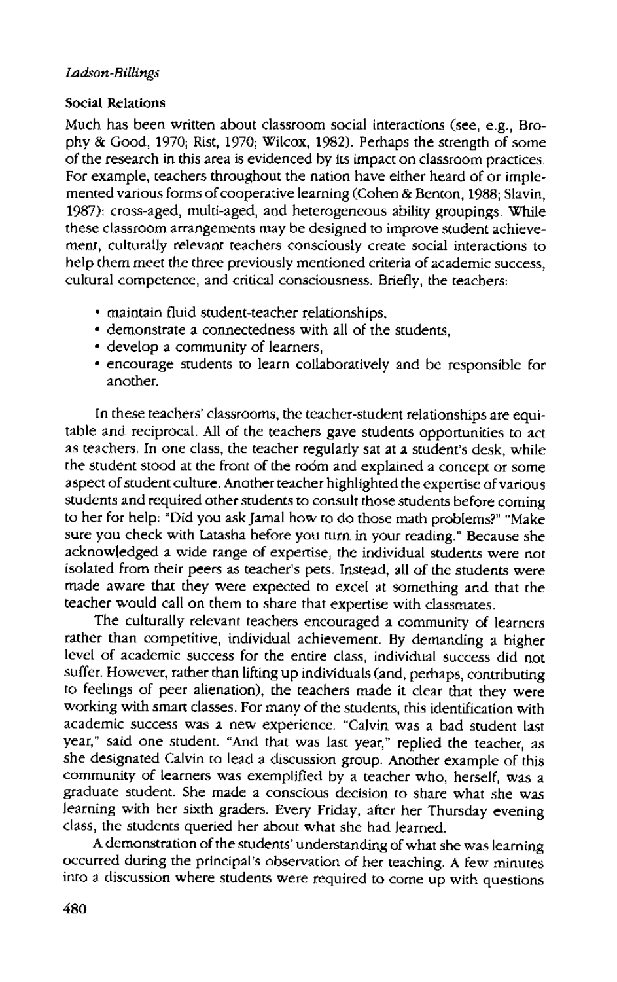### Social Relations

Much has been written about classroom social interactions (see, e.g., Brophy & Good, 1970; Rist, 1970; Wilcox, 1982). Perhaps the strength of some of the research in this area is evidenced by its impact on classroom practices. For example, teachers throughout the nation have either heard of or implemented various forms of cooperative learning (Cohen & Benton, 1988; Slavin, 1987): cross-aged, multi-aged, and heterogeneous ability groupings. While these classroom arrangements may be designed to improve student achievement, culturally relevant teachers consciously create social interactions to help them meet the three previously mentioned criteria of academic success. cultural competence, and critical consciousness. Briefly, the teachers:

- · maintain fluid student-teacher relationships,
- · demonstrate a connectedness with all of the students.
- · develop a community of learners.
- · encourage students to learn collaboratively and be responsible for another.

In these teachers' classrooms, the teacher-student relationships are equitable and reciprocal. All of the teachers gave students opportunities to act as teachers. In one class, the teacher regularly sat at a student's desk, while the student stood at the front of the room and explained a concept or some aspect of student culture. Another teacher highlighted the expertise of various students and required other students to consult those students before coming to her for help: "Did you ask Jamal how to do those math problems?" "Make sure you check with Latasha before you turn in your reading." Because she acknowledged a wide range of expertise, the individual students were not isolated from their peers as teacher's pets. Instead, all of the students were made aware that they were expected to excel at something and that the teacher would call on them to share that expertise with classmates.

The culturally relevant teachers encouraged a community of learners rather than competitive, individual achievement. By demanding a higher level of academic success for the entire class, individual success did not suffer. However, rather than lifting up individuals (and, perhaps, contributing to feelings of peer alienation), the teachers made it clear that they were working with smart classes. For many of the students, this identification with academic success was a new experience. "Calvin was a bad student last year," said one student. "And that was last year," replied the teacher, as she designated Calvin to lead a discussion group. Another example of this community of learners was exemplified by a teacher who, herself, was a graduate student. She made a conscious decision to share what she was learning with her sixth graders. Every Friday, after her Thursday evening class, the students queried her about what she had learned.

A demonstration of the students' understanding of what she was learning occurred during the principal's observation of her teaching. A few minutes into a discussion where students were required to come up with questions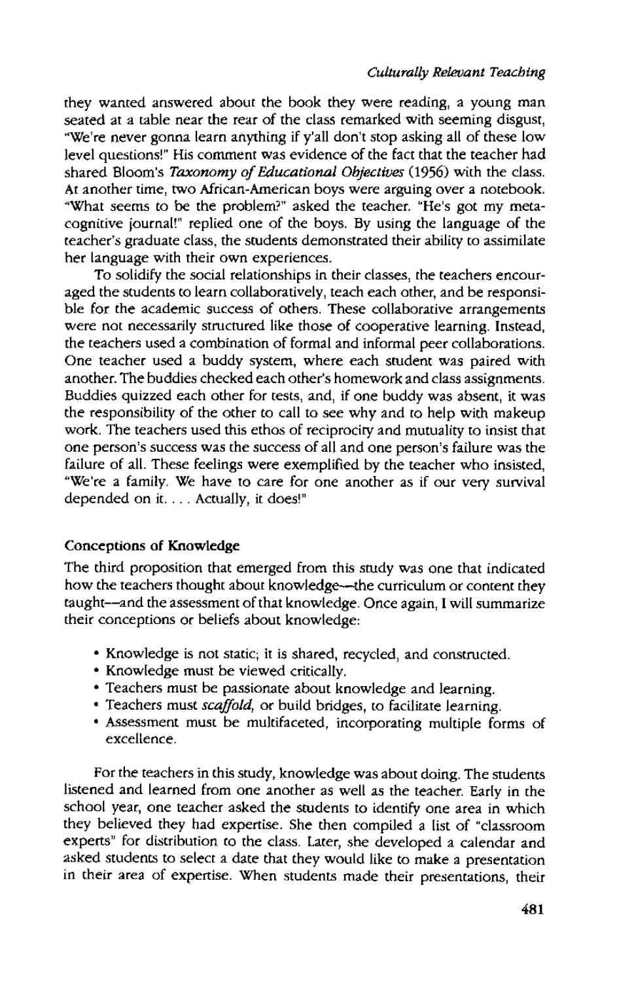they wanted answered about the book they were reading, a young man seated at a table near the rear of the class remarked with seeming disgust. "We're never gonna learn anything if y'all don't stop asking all of these low level questions!" His comment was evidence of the fact that the teacher had shared Bloom's Taxonomy of Educational Objectives (1956) with the class. At another time, two African-American boys were arguing over a notebook. "What seems to be the problem?" asked the teacher. "He's got my metacognitive journal!" replied one of the boys. By using the language of the teacher's graduate class, the students demonstrated their ability to assimilate her language with their own experiences.

To solidify the social relationships in their classes, the teachers encouraged the students to learn collaboratively, teach each other, and be responsible for the academic success of others. These collaborative arrangements were not necessarily structured like those of cooperative learning. Instead, the teachers used a combination of formal and informal peer collaborations. One teacher used a buddy system, where each student was paired with another. The buddies checked each other's homework and class assignments. Buddies quizzed each other for tests, and, if one buddy was absent, it was the responsibility of the other to call to see why and to help with makeup work. The teachers used this ethos of reciprocity and mutuality to insist that one person's success was the success of all and one person's failure was the failure of all. These feelings were exemplified by the teacher who insisted, "We're a family. We have to care for one another as if our very survival depended on it.... Actually, it does!"

### Conceptions of Knowledge

The third proposition that emerged from this study was one that indicated how the teachers thought about knowledge—the curriculum or content they taught-and the assessment of that knowledge. Once again, I will summarize their conceptions or beliefs about knowledge:

- · Knowledge is not static; it is shared, recycled, and constructed.
- Knowledge must be viewed critically.
- Teachers must be passionate about knowledge and learning.
- · Teachers must scaffold, or build bridges, to facilitate learning.
- Assessment must be multifaceted, incorporating multiple forms of excellence.

For the teachers in this study, knowledge was about doing. The students listened and learned from one another as well as the teacher. Early in the school year, one teacher asked the students to identify one area in which they believed they had expertise. She then compiled a list of "classroom experts" for distribution to the class. Later, she developed a calendar and asked students to select a date that they would like to make a presentation in their area of expertise. When students made their presentations, their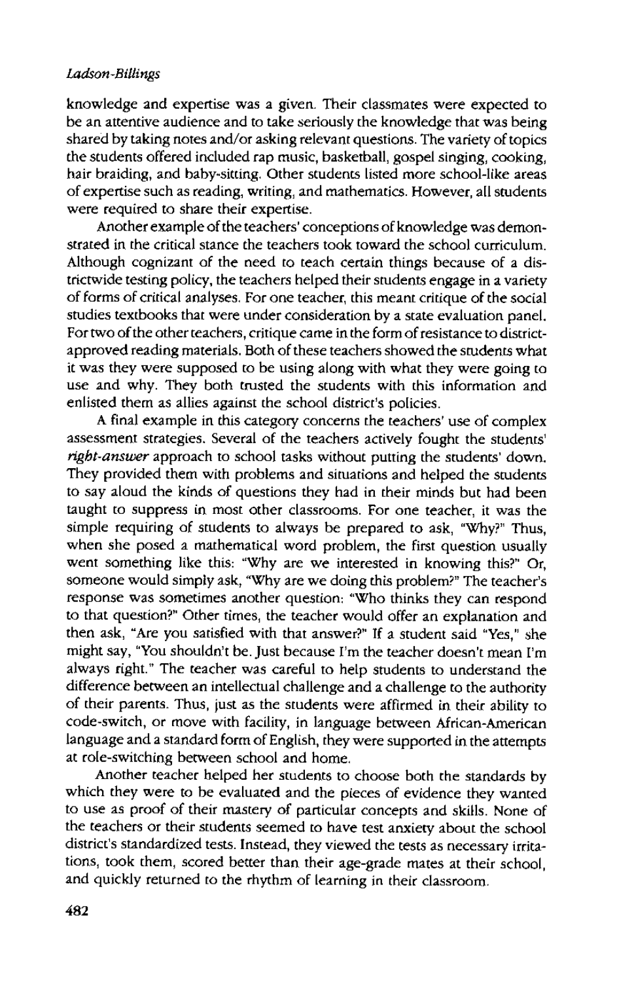knowledge and expertise was a given. Their classmates were expected to be an attentive audience and to take seriously the knowledge that was being shared by taking notes and/or asking relevant questions. The variety of topics the students offered included rap music, basketball, gospel singing, cooking, hair braiding, and baby-sitting. Other students listed more school-like areas of expertise such as reading, writing, and mathematics. However, all students were required to share their expertise.

Another example of the teachers' conceptions of knowledge was demonstrated in the critical stance the teachers took toward the school curriculum. Although cognizant of the need to teach certain things because of a districtwide testing policy, the teachers helped their students engage in a variety of forms of critical analyses. For one teacher, this meant critique of the social studies textbooks that were under consideration by a state evaluation panel. For two of the other teachers, critique came in the form of resistance to districtapproved reading materials. Both of these teachers showed the students what it was they were supposed to be using along with what they were going to use and why. They both trusted the students with this information and enlisted them as allies against the school district's policies.

A final example in this category concerns the teachers' use of complex assessment strategies. Several of the teachers actively fought the students' right-answer approach to school tasks without putting the students' down. They provided them with problems and situations and helped the students to say aloud the kinds of questions they had in their minds but had been taught to suppress in most other classrooms. For one teacher, it was the simple requiring of students to always be prepared to ask, "Why?" Thus, when she posed a mathematical word problem, the first question usually went something like this: "Why are we interested in knowing this?" Or, someone would simply ask, "Why are we doing this problem?" The teacher's response was sometimes another question: "Who thinks they can respond to that question?" Other times, the teacher would offer an explanation and then ask, "Are you satisfied with that answer?" If a student said "Yes," she might say, "You shouldn't be. Just because I'm the teacher doesn't mean I'm always right." The teacher was careful to help students to understand the difference between an intellectual challenge and a challenge to the authority of their parents. Thus, just as the students were affirmed in their ability to code-switch, or move with facility, in language between African-American language and a standard form of English, they were supported in the attempts at role-switching between school and home.

Another teacher helped her students to choose both the standards by which they were to be evaluated and the pieces of evidence they wanted to use as proof of their mastery of particular concepts and skills. None of the teachers or their students seemed to have test anxiety about the school district's standardized tests. Instead, they viewed the tests as necessary irritations, took them, scored better than their age-grade mates at their school. and quickly returned to the rhythm of learning in their classroom.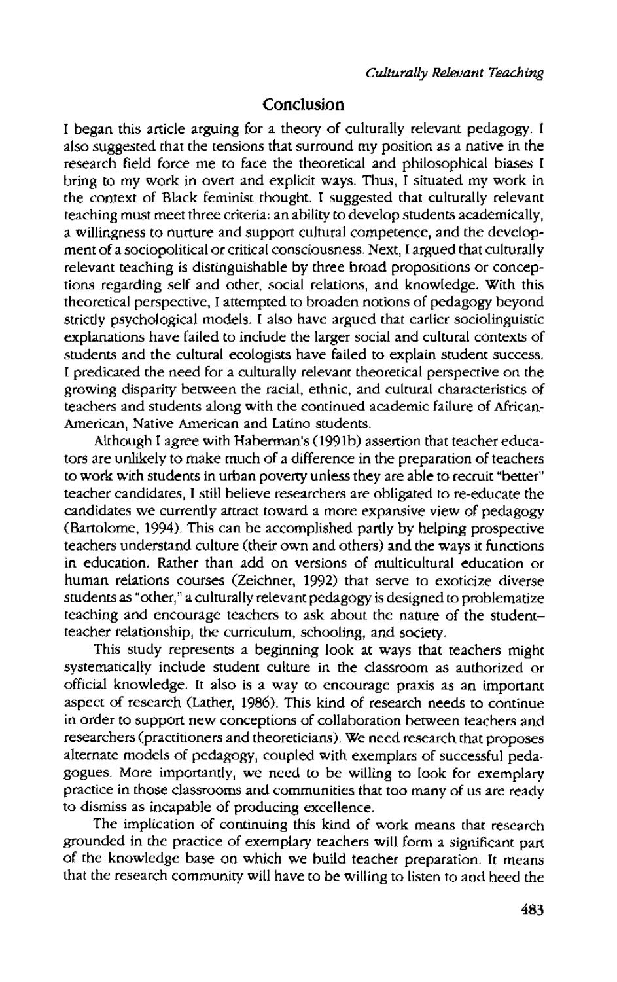### Conclusion

I began this article arguing for a theory of culturally relevant pedagogy. I also suggested that the tensions that surround my position as a native in the research field force me to face the theoretical and philosophical biases I bring to my work in overt and explicit ways. Thus, I situated my work in the context of Black feminist thought. I suggested that culturally relevant teaching must meet three criteria: an ability to develop students academically. a willingness to nurture and support cultural competence, and the development of a sociopolitical or critical consciousness. Next, I argued that culturally relevant teaching is distinguishable by three broad propositions or conceptions regarding self and other, social relations, and knowledge. With this theoretical perspective, I attempted to broaden notions of pedagogy beyond strictly psychological models. I also have argued that earlier sociolinguistic explanations have failed to include the larger social and cultural contexts of students and the cultural ecologists have failed to explain student success. I predicated the need for a culturally relevant theoretical perspective on the growing disparity between the racial, ethnic, and cultural characteristics of teachers and students along with the continued academic failure of African-American, Native American and Latino students.

Although I agree with Haberman's (1991b) assertion that teacher educators are unlikely to make much of a difference in the preparation of teachers to work with students in urban poverty unless they are able to recruit "better" teacher candidates. I still believe researchers are obligated to re-educate the candidates we currently attract toward a more expansive view of pedagogy (Bartolome, 1994). This can be accomplished partly by helping prospective teachers understand culture (their own and others) and the ways it functions in education. Rather than add on versions of multicultural education or human relations courses (Zeichner, 1992) that serve to exoticize diverse students as "other," a culturally relevant pedagogy is designed to problematize teaching and encourage teachers to ask about the nature of the studentteacher relationship, the curriculum, schooling, and society.

This study represents a beginning look at ways that teachers might systematically include student culture in the classroom as authorized or official knowledge. It also is a way to encourage praxis as an important aspect of research (Lather, 1986). This kind of research needs to continue in order to support new conceptions of collaboration between teachers and researchers (practitioners and theoreticians). We need research that proposes alternate models of pedagogy, coupled with exemplars of successful pedagogues. More importantly, we need to be willing to look for exemplary practice in those classrooms and communities that too many of us are ready to dismiss as incapable of producing excellence.

The implication of continuing this kind of work means that research grounded in the practice of exemplary teachers will form a significant part of the knowledge base on which we build teacher preparation. It means that the research community will have to be willing to listen to and heed the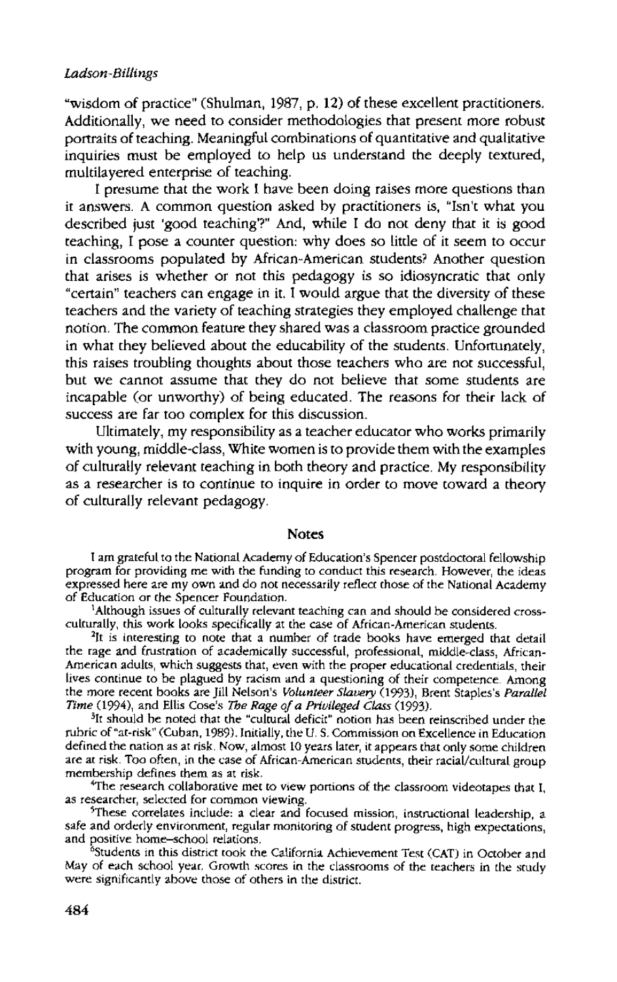"wisdom of practice" (Shulman, 1987, p. 12) of these excellent practitioners. Additionally, we need to consider methodologies that present more robust portraits of teaching. Meaningful combinations of quantitative and qualitative inquiries must be employed to help us understand the deeply textured, multilavered enterprise of teaching.

I presume that the work I have been doing raises more questions than it answers. A common question asked by practitioners is, "Isn't what you described just 'good teaching'?" And, while I do not deny that it is good teaching, I pose a counter question: why does so little of it seem to occur in classrooms populated by African-American students? Another question that arises is whether or not this pedagogy is so idiosyncratic that only "certain" teachers can engage in it. I would argue that the diversity of these teachers and the variety of teaching strategies they employed challenge that notion. The common feature they shared was a classroom practice grounded in what they believed about the educability of the students. Unfortunately, this raises troubling thoughts about those teachers who are not successful, but we cannot assume that they do not believe that some students are incapable (or unworthy) of being educated. The reasons for their lack of success are far too complex for this discussion.

Ultimately, my responsibility as a teacher educator who works primarily with young, middle-class, White women is to provide them with the examples of culturally relevant teaching in both theory and practice. My responsibility as a researcher is to continue to inquire in order to move toward a theory of culturally relevant pedagogy.

#### **Notes**

I am grateful to the National Academy of Education's Spencer postdoctoral fellowship program for providing me with the funding to conduct this research. However, the ideas expressed here are my own and do not necessarily reflect those of the National Academy of Education or the Spencer Foundation.

Although issues of culturally relevant teaching can and should be considered crossculturally, this work looks specifically at the case of African-American students.

<sup>2</sup>It is interesting to note that a number of trade books have emerged that detail the rage and frustration of academically successful, professional, middle-class, African-American adults, which suggests that, even with the proper educational credentials, their lives continue to be plagued by racism and a questioning of their competence. Among the more recent books are Jill Nelson's Volunteer Slavery (1993), Brent Staples's Parallel Time (1994), and Ellis Cose's The Rage of a Privileged Class (1993).

<sup>3</sup>It should be noted that the "cultural deficit" notion has been reinscribed under the rubric of "at-risk" (Cuban, 1989). Initially, the U.S. Commission on Excellence in Education defined the nation as at risk. Now, almost 10 years later, it appears that only some children are at risk. Too often, in the case of African-American students, their racial/cultural group membership defines them as at risk.

<sup>4</sup>The research collaborative met to view portions of the classroom videotapes that I. as researcher, selected for common viewing.

<sup>5</sup>These correlates include: a clear and focused mission, instructional leadership, a safe and orderly environment, regular monitoring of student progress, high expectations, and positive home-school relations.

Students in this district took the California Achievement Test (CAT) in October and May of each school year. Growth scores in the classrooms of the teachers in the study were significantly above those of others in the district.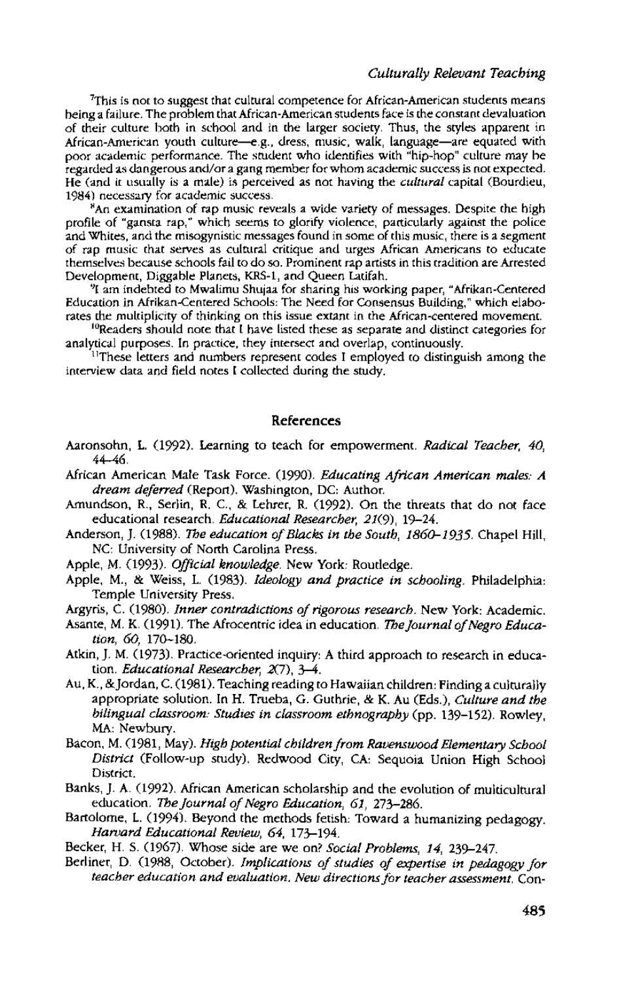### Culturally Relevant Teaching

 $T$ This is not to suggest that cultural competence for African-American students means being a failure. The problem that African-American students face is the constant devaluation of their culture both in school and in the larger society. Thus, the styles apparent in African-American youth culture-e.g., dress, music, walk, language-are equated with poor academic performance. The student who identifies with "hip-hop" culture may be regarded as dangerous and/or a gang member for whom academic success is not expected. He (and it usually is a male) is perceived as not having the *cultural* capital (Bourdieu, 1984) necessary for academic success.

<sup>8</sup>An examination of rap music reveals a wide variety of messages. Despite the high profile of "gansta rap," which seems to glorify violence, particularly against the police and Whites, and the misogynistic messages found in some of this music, there is a segment of rap music that serves as cultural critique and urges African Americans to educate themselves because schools fail to do so. Prominent rap artists in this tradition are Arrested Development, Diggable Planets, KRS-1, and Queen Latifah.

If am indebted to Mwalimu Shujaa for sharing his working paper, "Afrikan-Centered Education in Afrikan-Centered Schools: The Need for Consensus Building," which elaborates the multiplicity of thinking on this issue extant in the African-centered movement.

<sup>10</sup>Readers should note that I have listed these as separate and distinct categories for analytical purposes. In practice, they intersect and overlap, continuously.

<sup>11</sup>These letters and numbers represent codes I employed to distinguish among the interview data and field notes I collected during the study.

#### References

- Aaronsohn, L. (1992). Learning to teach for empowerment. Radical Teacher, 40,  $44 - 46$
- African American Male Task Force. (1990). Educating African American males: A dream deferred (Report). Washington, DC: Author.
- Amundson, R., Serlin, R. C., & Lehrer, R. (1992). On the threats that do not face educational research. Educational Researcher, 21(9), 19-24.
- Anderson, J. (1988). The education of Blacks in the South, 1860-1935. Chapel Hill, NC: University of North Carolina Press.
- Apple, M. (1993). Official knowledge. New York: Routledge.
- Apple, M., & Weiss, L. (1983). Ideology and practice in schooling. Philadelphia: Temple University Press.

Argyris, C. (1980). Inner contradictions of rigorous research. New York: Academic.

- Asante, M. K. (1991). The Afrocentric idea in education. The Journal of Negro Education, 60, 170-180.
- Atkin, J. M. (1973). Practice-oriented inquiry: A third approach to research in education. Educational Researcher, 2(7), 3-4.
- Au, K., & Jordan, C. (1981). Teaching reading to Hawaiian children: Finding a culturally appropriate solution. In H. Trueba, G. Guthrie, & K. Au (Eds.), Culture and the bilingual classroom: Studies in classroom ethnography (pp. 139-152). Rowley, MA: Newbury.
- Bacon, M. (1981, May). High potential children from Ravenswood Elementary School District (Follow-up study). Redwood City, CA: Sequoia Union High School District.
- Banks, J. A. (1992). African American scholarship and the evolution of multicultural education. The Journal of Negro Education, 61, 273-286.
- Bartolome, L. (1994). Beyond the methods fetish: Toward a humanizing pedagogy. Harvard Educational Review, 64, 173–194,

Becker, H. S. (1967). Whose side are we on? Social Problems, 14, 239-247.

Berliner, D. (1988, October). Implications of studies of expertise in pedagogy for teacher education and evaluation. New directions for teacher assessment. Con-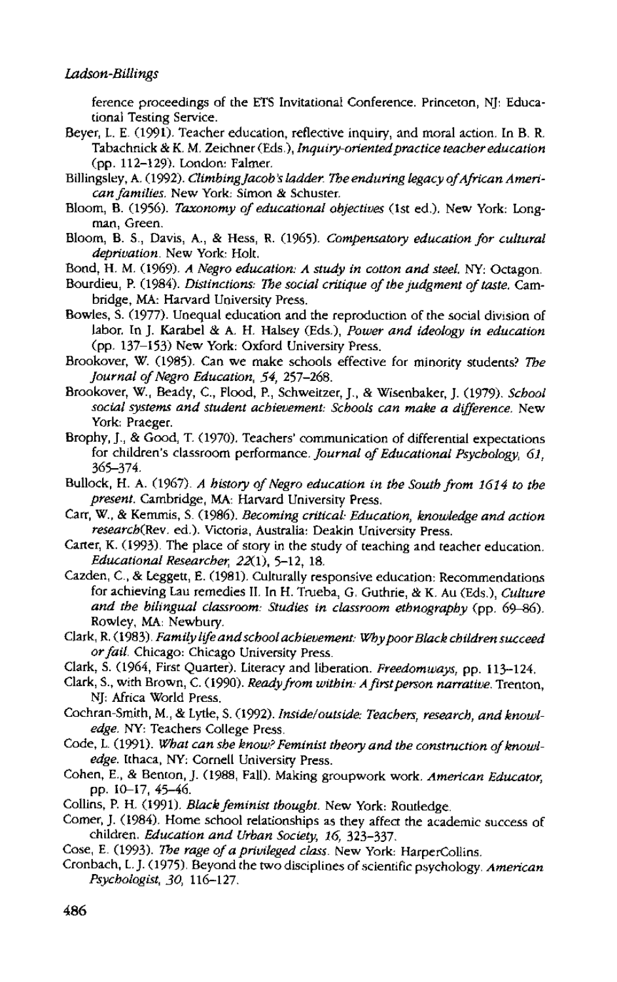ference proceedings of the ETS Invitational Conference. Princeton, NJ: Educational Testing Service.

- Beyer, L. E. (1991). Teacher education, reflective inquiry, and moral action. In B. R. Tabachnick & K. M. Zeichner (Eds.), Inquiry-oriented practice teacher education (pp. 112-129). London: Falmer.
- Billingsley, A. (1992). Climbing Jacob's ladder. The enduring legacy of African American families. New York: Simon & Schuster.
- Bloom, B. (1956). Taxonomy of educational objectives (1st ed.). New York: Longman, Green.
- Bloom, B. S., Davis, A., & Hess, R. (1965). Compensatory education for cultural deprivation. New York: Holt.
- Bond, H. M. (1969). A Negro education: A study in cotton and steel. NY: Octagon.
- Bourdieu, P. (1984). Distinctions: The social critique of the judgment of taste. Cambridge, MA: Harvard University Press.
- Bowles, S. (1977). Unequal education and the reproduction of the social division of labor. In J. Karabel & A. H. Halsey (Eds.), Power and ideology in education (pp. 137–153) New York: Oxford University Press.
- Brookover, W. (1985). Can we make schools effective for minority students? The Journal of Negro Education, 54, 257-268.
- Brookover, W., Beady, C., Flood, P., Schweitzer, J., & Wisenbaker, J. (1979). School social systems and student achievement: Schools can make a difference. New York: Praeger.
- Brophy, J., & Good, T. (1970). Teachers' communication of differential expectations for children's classroom performance. Journal of Educational Psychology, 61, 365–374.
- Bullock, H. A. (1967). A history of Negro education in the South from 1614 to the present. Cambridge, MA: Harvard University Press.
- Carr, W., & Kemmis, S. (1986). Becoming critical: Education, knowledge and action research (Rev. ed.). Victoria, Australia: Deakin University Press.
- Carter, K. (1993). The place of story in the study of teaching and teacher education. Educational Researcher, 22(1), 5-12, 18.
- Cazden, C., & Leggett, E. (1981). Culturally responsive education: Recommendations for achieving Lau remedies II. In H. Trueba, G. Guthrie, & K. Au (Eds.), Culture and the bilingual classroom: Studies in classroom ethnography (pp. 69-86). Rowley, MA: Newbury.
- Clark, R. (1983). Family life and school achievement: Why poor Black children succeed or fail. Chicago: Chicago University Press.
- Clark, S. (1964, First Quarter). Literacy and liberation. Freedomways, pp. 113-124.
- Clark, S., with Brown, C. (1990). Ready from within: A first person narrative. Trenton, NJ: Africa World Press.
- Cochran-Smith, M., & Lytle, S. (1992). Inside/outside: Teachers, research, and knowledge. NY: Teachers College Press.
- Code, L. (1991). What can she know? Feminist theory and the construction of knowledge. Ithaca, NY: Cornell University Press.
- Cohen, E., & Benton, J. (1988, Fall). Making groupwork work. American Educator, pp. 10-17, 45-46.
- Collins, P. H. (1991). Black feminist thought. New York: Routledge.
- Comer, J. (1984). Home school relationships as they affect the academic success of children. Education and Urban Society, 16, 323-337.
- Cose, E. (1993). The rage of a privileged class. New York: HarperCollins.
- Cronbach, L. J. (1975). Beyond the two disciplines of scientific psychology. American Psychologist, 30, 116-127.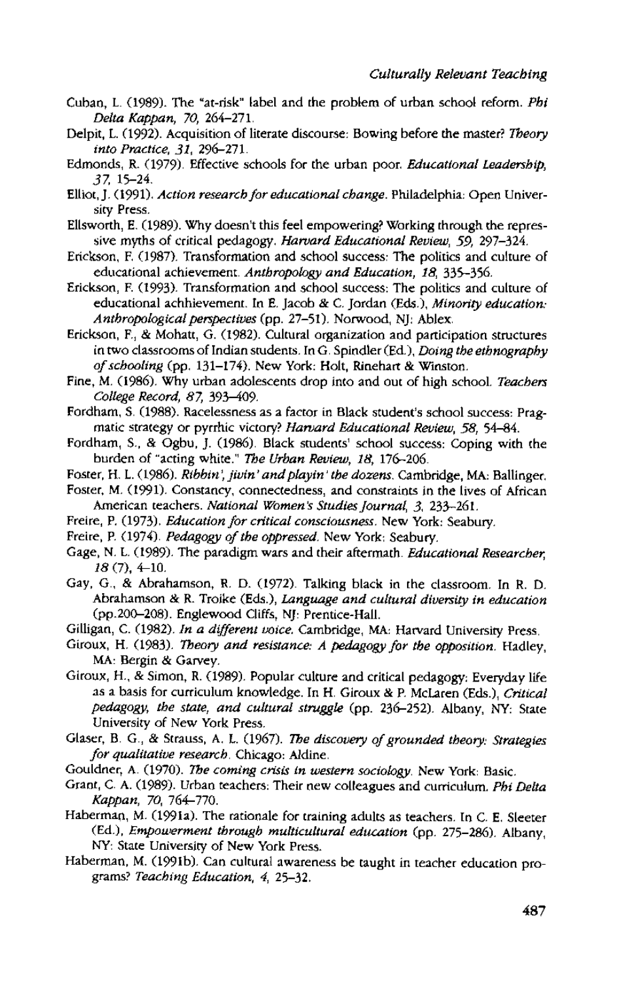- Cuban, L. (1989). The "at-risk" label and the problem of urban school reform. Phi Delta Kappan, 70, 264-271.
- Delpit, L. (1992). Acquisition of literate discourse: Bowing before the master? Theory into Practice, 31, 296-271.
- Edmonds, R. (1979). Effective schools for the urban poor. Educational Leadership,  $37.15 - 24.$
- Elliot, J. (1991). Action research for educational change. Philadelphia: Open University Press.
- Ellsworth, E. (1989). Why doesn't this feel empowering? Working through the repressive myths of critical pedagogy. Harvard Educational Review, 59, 297-324.
- Erickson, F. (1987). Transformation and school success: The politics and culture of educational achievement. Anthropology and Education, 18, 335-356.
- Erickson, F. (1993). Transformation and school success: The politics and culture of educational achhievement. In E. Jacob & C. Jordan (Eds.), Minority education: Anthropological perspectives (pp. 27-51). Norwood, NJ: Ablex.
- Erickson, F., & Mohatt, G. (1982). Cultural organization and participation structures in two classrooms of Indian students. In G. Spindler (Ed.), Doing the ethnography of schooling (pp. 131-174). New York: Holt, Rinehart & Winston.
- Fine, M. (1986). Why urban adolescents drop into and out of high school. Teachers College Record, 87, 393-409.
- Fordham, S. (1988). Racelessness as a factor in Black student's school success: Pragmatic strategy or pyrrhic victory? Harvard Educational Review, 58, 54-84.
- Fordham, S., & Ogbu, J. (1986). Black students' school success: Coping with the burden of "acting white." The Urban Review, 18, 176-206.
- Foster, H. L. (1986). Ribbin', jivin' and playin' the dozens. Cambridge, MA: Ballinger.
- Foster, M. (1991). Constancy, connectedness, and constraints in the lives of African American teachers. National Women's Studies Journal, 3, 233-261.
- Freire, P. (1973). Education for critical consciousness. New York: Seabury.
- Freire, P. (1974). Pedagogy of the oppressed. New York: Seabury.
- Gage, N. L. (1989). The paradigm wars and their aftermath. Educational Researcher.  $18(7), 4-10.$
- Gay, G., & Abrahamson, R. D. (1972). Talking black in the classroom. In R. D. Abrahamson & R. Troike (Eds.), Language and cultural diversity in education (pp.200-208). Englewood Cliffs, NJ: Prentice-Hall.
- Gilligan, C. (1982). In a different voice. Cambridge, MA: Harvard University Press.
- Giroux, H. (1983). Theory and resistance: A pedagogy for the opposition. Hadley, MA: Bergin & Garvey.
- Giroux, H., & Simon, R. (1989). Popular culture and critical pedagogy: Everyday life as a basis for curriculum knowledge. In H. Giroux & P. McLaren (Eds.), Critical pedagogy, the state, and cultural struggle (pp. 236-252). Albany, NY: State University of New York Press.
- Glaser, B. G., & Strauss, A. L. (1967). The discovery of grounded theory: Strategies for qualitative research. Chicago: Aldine.
- Gouldner, A. (1970). The coming crisis in western sociology. New York: Basic.
- Grant, C. A. (1989). Urban teachers: Their new colleagues and curriculum. Phi Delta Каррап, 70, 764-770.
- Haberman, M. (1991a). The rationale for training adults as teachers. In C. E. Sleeter (Ed.), Empowerment through multicultural education (pp. 275-286). Albany, NY: State University of New York Press.
- Haberman, M. (1991b). Can cultural awareness be taught in teacher education programs? Teaching Education, 4, 25-32.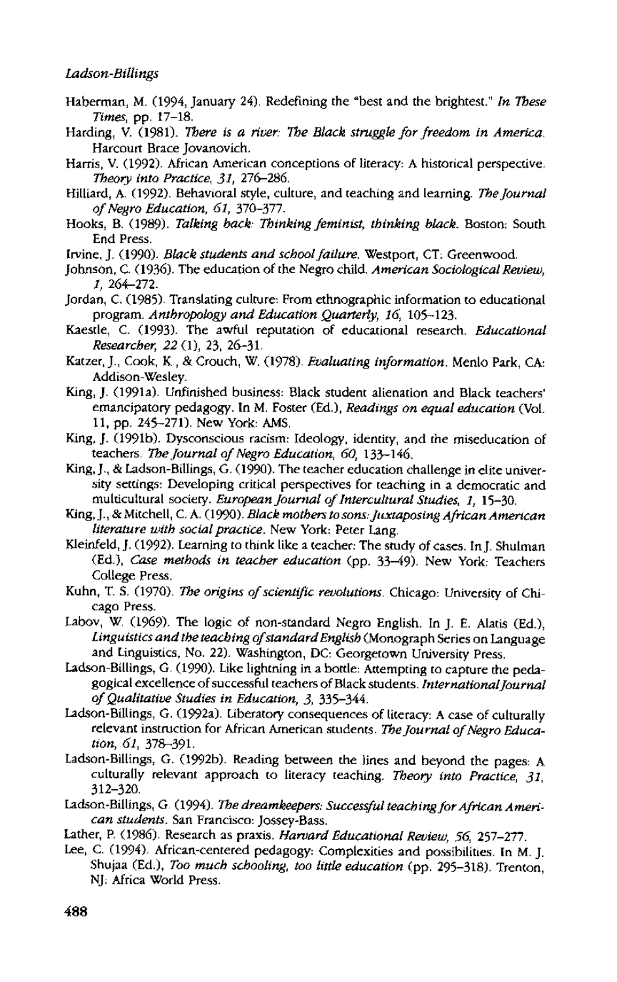- Haberman, M. (1994, January 24). Redefining the "best and the brightest." In These Times. pp. 17-18.
- Harding, V. (1981). There is a river: The Black struggle for freedom in America. Harcourt Brace Jovanovich.
- Harris, V. (1992). African American conceptions of literacy: A historical perspective. Theory into Practice, 31, 276-286.
- Hilliard, A. (1992). Behavioral style, culture, and teaching and learning. The Journal of Negro Education, 61, 370-377.
- Hooks, B. (1989). Talking back: Thinking feminist, thinking black. Boston: South End Press.
- Irvine, J. (1990). Black students and school failure. Westport, CT. Greenwood.
- Johnson, C. (1936). The education of the Negro child. American Sociological Review,  $1, 264 - 272.$
- Jordan, C. (1985). Translating culture: From ethnographic information to educational program. Anthropology and Education Quarterly, 16, 105-123.
- Kaestle, C. (1993). The awful reputation of educational research. *Educational* Researcher, 22 (1), 23, 26-31.
- Katzer, J., Cook, K., & Crouch, W. (1978). Evaluating information. Menlo Park, CA: Addison-Wesley.
- King, J. (1991a). Unfinished business: Black student alienation and Black teachers' emancipatory pedagogy. In M. Foster (Ed.), Readings on equal education (Vol. 11, pp. 245-271). New York: AMS.
- King, J. (1991b). Dysconscious racism: Ideology, identity, and the miseducation of teachers. The Journal of Negro Education, 60, 133-146.
- King, J., & Ladson-Billings, G. (1990). The teacher education challenge in elite university settings: Developing critical perspectives for teaching in a democratic and multicultural society. European Journal of Intercultural Studies, 1, 15-30.
- King, J., & Mitchell, C. A. (1990). Black mothers to sons: Juxtaposing African American literature with social practice. New York: Peter Lang.
- Kleinfeld, J. (1992). Learning to think like a teacher: The study of cases. In J. Shulman (Ed.), Case methods in teacher education (pp. 33-49). New York: Teachers College Press.
- Kuhn, T. S. (1970). The origins of scientific revolutions. Chicago: University of Chicago Press.
- Labov, W. (1969). The logic of non-standard Negro English. In J. E. Alatis (Ed.). Linguistics and the teaching of standard English (Monograph Series on Language and Linguistics, No. 22). Washington, DC: Georgetown University Press,
- Ladson-Billings, G. (1990). Like lightning in a bottle: Attempting to capture the pedagogical excellence of successful teachers of Black students. International Journal of Qualitative Studies in Education, 3, 335–344.
- Ladson-Billings, G. (1992a). Liberatory consequences of literacy: A case of culturally relevant instruction for African American students. The Journal of Negro Education, 61, 378-391.
- Ladson-Billings, G. (1992b). Reading between the lines and beyond the pages: A culturally relevant approach to literacy teaching. Theory into Practice, 31, 312-320.

Ladson-Billings, G. (1994). The dreamkeepers: Successful teaching for African American students. San Francisco: Jossey-Bass.

- Lather, P. (1986). Research as praxis. Harvard Educational Review, 56, 257-277.
- Lee, C. (1994). African-centered pedagogy: Complexities and possibilities. In M. J. Shujaa (Ed.), Too much schooling, too little education (pp. 295-318). Trenton, NJ: Africa World Press.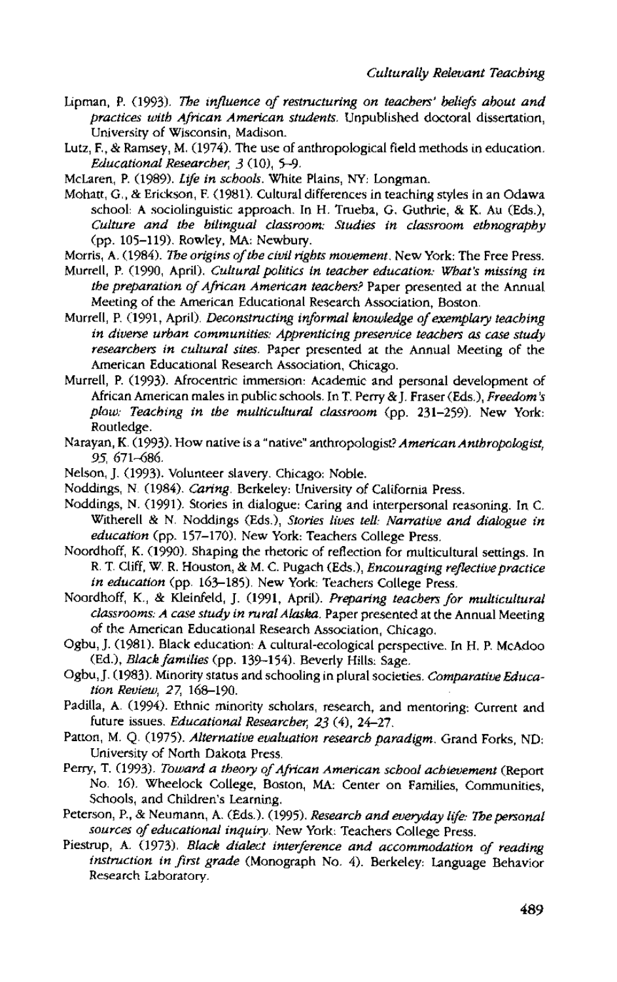- Lipman, P. (1993). The influence of restructuring on teachers' beliefs about and practices with African American students. Unpublished doctoral dissertation. University of Wisconsin, Madison.
- Lutz, F., & Ramsey, M. (1974). The use of anthropological field methods in education. Educational Researcher, 3 (10), 5-9.

McLaren, P. (1989). Life in schools. White Plains, NY: Longman.

- Mohatt, G., & Erickson, F. (1981). Cultural differences in teaching styles in an Odawa school: A sociolinguistic approach. In H. Trueba, G. Guthrie, & K. Au (Eds.), Culture and the bilingual classroom: Studies in classroom ethnography (pp. 105-119). Rowley, MA: Newbury.
- Morris, A. (1984). The origins of the civil rights movement. New York: The Free Press.
- Murrell, P. (1990, April). Cultural politics in teacher education: What's missing in the preparation of African American teachers? Paper presented at the Annual Meeting of the American Educational Research Association, Boston.
- Murrell, P. (1991, April). Deconstructing informal knowledge of exemplary teaching in diverse urban communities: Apprenticing preservice teachers as case study researchers in cultural sites. Paper presented at the Annual Meeting of the American Educational Research Association, Chicago.
- Murrell, P. (1993). Afrocentric immersion: Academic and personal development of African American males in public schools. In T. Perry & J. Fraser (Eds.), Freedom's plow: Teaching in the multicultural classroom (pp. 231-259). New York: Routledge.
- Narayan, K. (1993). How native is a "native" anthropologist? American Anthropologist, 95, 671–686.
- Nelson, J. (1993). Volunteer slavery. Chicago: Noble.
- Noddings, N. (1984). Caring. Berkeley: University of California Press.
- Noddings, N. (1991). Stories in dialogue: Caring and interpersonal reasoning. In C. Witherell & N. Noddings (Eds.), Stories lives tell: Narrative and dialogue in education (pp. 157-170). New York: Teachers College Press.
- Noordhoff, K. (1990). Shaping the rhetoric of reflection for multicultural settings. In R. T. Cliff, W. R. Houston, & M. C. Pugach (Eds.), Encouraging reflective practice in education (pp. 163-185). New York: Teachers College Press.
- Noordhoff, K., & Kleinfeld, J. (1991, April). Preparing teachers for multicultural classrooms: A case study in rural Alaska. Paper presented at the Annual Meeting of the American Educational Research Association, Chicago,
- Ogbu, J. (1981). Black education: A cultural-ecological perspective. In H. P. McAdoo (Ed.), Black families (pp. 139-154). Beverly Hills: Sage.
- Ogbu, J. (1983). Minority status and schooling in plural societies. Comparative Education Review, 27, 168-190.
- Padilla, A. (1994). Ethnic minority scholars, research, and mentoring: Current and future issues. Educational Researcher, 23 (4), 24-27.
- Patton, M. Q. (1975). Alternative evaluation research paradigm. Grand Forks, ND: University of North Dakota Press.
- Perry, T. (1993). Toward a theory of African American school achievement (Report No. 16). Wheelock College, Boston, MA: Center on Families, Communities, Schools, and Children's Learning.
- Peterson, P., & Neumann, A. (Eds.). (1995). Research and everyday life: The personal sources of educational inquiry. New York: Teachers College Press.
- Piestrup, A. (1973). Black dialect interference and accommodation of reading instruction in first grade (Monograph No. 4). Berkeley: Language Behavior Research Laboratory.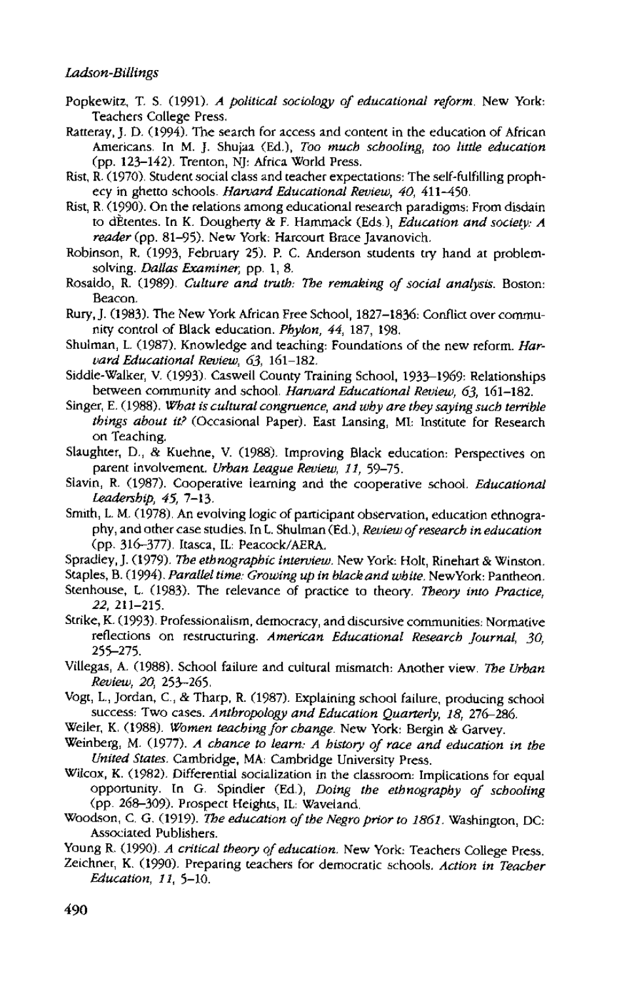- Popkewitz, T. S. (1991). A political sociology of educational reform. New York: Teachers College Press.
- Ratteray, J. D. (1994). The search for access and content in the education of African Americans. In M. J. Shujaa (Ed.), Too much schooling, too little education (pp. 123-142). Trenton, NJ: Africa World Press.
- Rist, R. (1970). Student social class and teacher expectations: The self-fulfilling prophecy in ghetto schools. Harvard Educational Review, 40, 411-450.
- Rist, R. (1990). On the relations among educational research paradigms: From disdain to dEtentes. In K. Dougherty & F. Hammack (Eds.), Education and society: A reader (pp. 81-95). New York: Harcourt Brace Javanovich.
- Robinson, R. (1993, February 25). P. C. Anderson students try hand at problemsolving. Dallas Examiner, pp. 1, 8.
- Rosaldo, R. (1989). Culture and truth: The remaking of social analysis. Boston: Beacon.
- Rury, J. (1983). The New York African Free School, 1827-1836: Conflict over community control of Black education. *Phylon*, 44, 187, 198.
- Shulman, L. (1987). Knowledge and teaching: Foundations of the new reform. Harvard Educational Review, 63, 161-182.
- Siddle-Walker, V. (1993). Caswell County Training School, 1933-1969: Relationships between community and school. Harvard Educational Review, 63, 161-182.
- Singer, E. (1988). What is cultural congruence, and why are they saying such terrible things about it? (Occasional Paper). East Lansing, MI: Institute for Research on Teaching.
- Slaughter, D., & Kuehne, V. (1988). Improving Black education: Perspectives on parent involvement. Urban League Review, 11, 59-75.
- Slavin, R. (1987). Cooperative learning and the cooperative school. Educational Leadership, 45, 7-13.
- Smith, L. M. (1978). An evolving logic of participant observation, education ethnography, and other case studies. In L. Shulman (Ed.), Review of research in education (pp. 316–377). Itasca, IL: Peacock/AERA,
- Spradley, J. (1979). The ethnographic interview. New York: Holt, Rinehart & Winston.
- Staples, B. (1994). Parallel time: Growing up in black and white. New York: Pantheon.
- Stenhouse, L. (1983). The relevance of practice to theory. Theory into Practice, 22, 211-215.
- Strike, K. (1993). Professionalism, democracy, and discursive communities: Normative reflections on restructuring. American Educational Research Journal, 30, 255–275.
- Villegas, A. (1988). School failure and cultural mismatch: Another view. The Urban Review, 20, 253-265.
- Vogt, L., Jordan, C., & Tharp, R. (1987). Explaining school failure, producing school success: Two cases. Anthropology and Education Quarterly, 18, 276-286.
- Weiler, K. (1988). Women teaching for change. New York: Bergin & Garvey.
- Weinberg, M. (1977). A chance to learn: A history of race and education in the United States. Cambridge, MA: Cambridge University Press.
- Wilcox, K. (1982). Differential socialization in the classroom: Implications for equal opportunity. In G. Spindler (Ed.), Doing the ethnography of schooling (pp. 268-309). Prospect Heights, IL: Waveland.
- Woodson, C. G. (1919). The education of the Negro prior to 1861. Washington, DC: Associated Publishers.

Young R. (1990). A critical theory of education. New York: Teachers College Press.

Zeichner, K. (1990). Preparing teachers for democratic schools. Action in Teacher Education, 11, 5-10.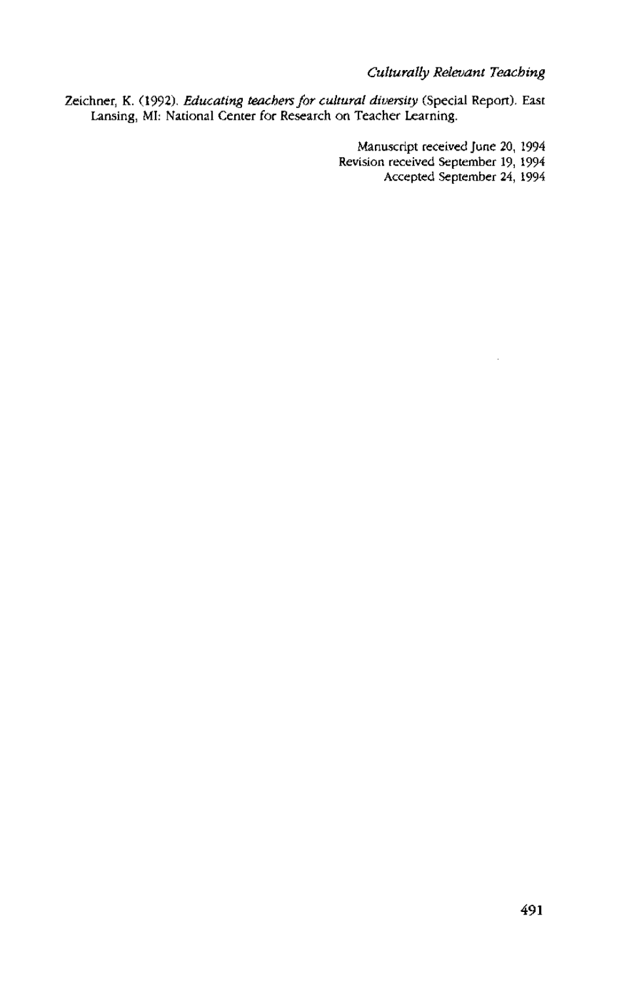### Culturally Relevant Teaching

Zeichner, K. (1992). Educating teachers for cultural diversity (Special Report). East Lansing, MI: National Center for Research on Teacher Learning.

Manuscript received June 20, 1994

Revision received September 19, 1994

Accepted September 24, 1994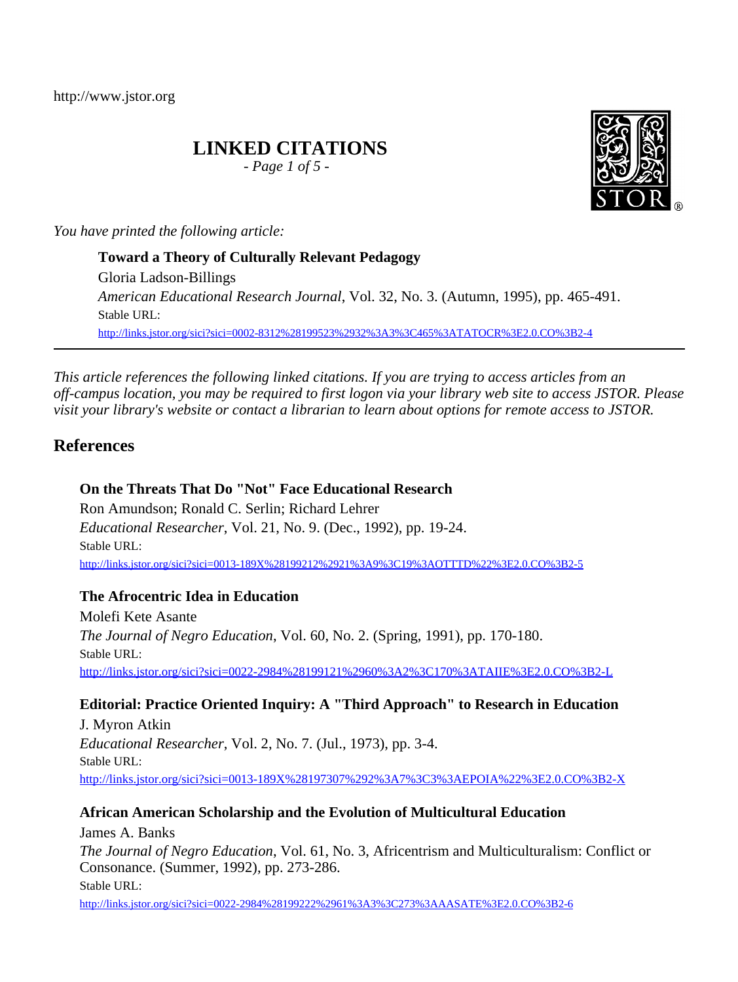http://www.jstor.org

# **LINKED CITATIONS**

*- Page 1 of 5 -*



*You have printed the following article:*

**Toward a Theory of Culturally Relevant Pedagogy** Gloria Ladson-Billings *American Educational Research Journal*, Vol. 32, No. 3. (Autumn, 1995), pp. 465-491. Stable URL: [http://links.jstor.org/sici?sici=0002-8312%28199523%2932%3A3%3C465%3ATATOCR%3E2.0.CO%3B2-4](http://links.jstor.org/sici?sici=0002-8312%28199523%2932%3A3%3C465%3ATATOCR%3E2.0.CO%3B2-4&origin=JSTOR-pdf)

*This article references the following linked citations. If you are trying to access articles from an off-campus location, you may be required to first logon via your library web site to access JSTOR. Please visit your library's website or contact a librarian to learn about options for remote access to JSTOR.*

## **References**

## **On the Threats That Do "Not" Face Educational Research** Ron Amundson; Ronald C. Serlin; Richard Lehrer *Educational Researcher*, Vol. 21, No. 9. (Dec., 1992), pp. 19-24. Stable URL:

[http://links.jstor.org/sici?sici=0013-189X%28199212%2921%3A9%3C19%3AOTTTD%22%3E2.0.CO%3B2-5](http://links.jstor.org/sici?sici=0013-189X%28199212%2921%3A9%3C19%3AOTTTD%22%3E2.0.CO%3B2-5&origin=JSTOR-pdf)

## **The Afrocentric Idea in Education**

Molefi Kete Asante *The Journal of Negro Education*, Vol. 60, No. 2. (Spring, 1991), pp. 170-180. Stable URL: [http://links.jstor.org/sici?sici=0022-2984%28199121%2960%3A2%3C170%3ATAIIE%3E2.0.CO%3B2-L](http://links.jstor.org/sici?sici=0022-2984%28199121%2960%3A2%3C170%3ATAIIE%3E2.0.CO%3B2-L&origin=JSTOR-pdf)

## **Editorial: Practice Oriented Inquiry: A "Third Approach" to Research in Education**

J. Myron Atkin *Educational Researcher*, Vol. 2, No. 7. (Jul., 1973), pp. 3-4. Stable URL: [http://links.jstor.org/sici?sici=0013-189X%28197307%292%3A7%3C3%3AEPOIA%22%3E2.0.CO%3B2-X](http://links.jstor.org/sici?sici=0013-189X%28197307%292%3A7%3C3%3AEPOIA%22%3E2.0.CO%3B2-X&origin=JSTOR-pdf)

## **African American Scholarship and the Evolution of Multicultural Education**

James A. Banks *The Journal of Negro Education*, Vol. 61, No. 3, Africentrism and Multiculturalism: Conflict or Consonance. (Summer, 1992), pp. 273-286. Stable URL: [http://links.jstor.org/sici?sici=0022-2984%28199222%2961%3A3%3C273%3AAASATE%3E2.0.CO%3B2-6](http://links.jstor.org/sici?sici=0022-2984%28199222%2961%3A3%3C273%3AAASATE%3E2.0.CO%3B2-6&origin=JSTOR-pdf)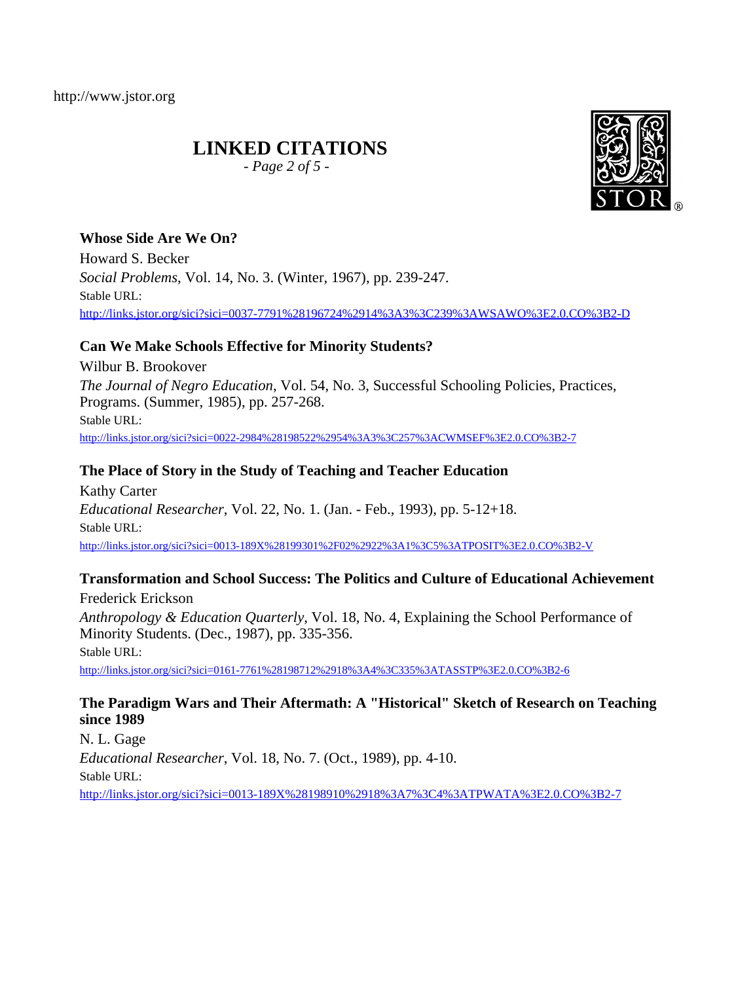http://www.jstor.org

# **LINKED CITATIONS**

*- Page 2 of 5 -*



## **Whose Side Are We On?**

Howard S. Becker *Social Problems*, Vol. 14, No. 3. (Winter, 1967), pp. 239-247. Stable URL: [http://links.jstor.org/sici?sici=0037-7791%28196724%2914%3A3%3C239%3AWSAWO%3E2.0.CO%3B2-D](http://links.jstor.org/sici?sici=0037-7791%28196724%2914%3A3%3C239%3AWSAWO%3E2.0.CO%3B2-D&origin=JSTOR-pdf)

## **Can We Make Schools Effective for Minority Students?**

Wilbur B. Brookover *The Journal of Negro Education*, Vol. 54, No. 3, Successful Schooling Policies, Practices, Programs. (Summer, 1985), pp. 257-268. Stable URL: [http://links.jstor.org/sici?sici=0022-2984%28198522%2954%3A3%3C257%3ACWMSEF%3E2.0.CO%3B2-7](http://links.jstor.org/sici?sici=0022-2984%28198522%2954%3A3%3C257%3ACWMSEF%3E2.0.CO%3B2-7&origin=JSTOR-pdf)

## **The Place of Story in the Study of Teaching and Teacher Education**

Kathy Carter *Educational Researcher*, Vol. 22, No. 1. (Jan. - Feb., 1993), pp. 5-12+18. Stable URL: [http://links.jstor.org/sici?sici=0013-189X%28199301%2F02%2922%3A1%3C5%3ATPOSIT%3E2.0.CO%3B2-V](http://links.jstor.org/sici?sici=0013-189X%28199301%2F02%2922%3A1%3C5%3ATPOSIT%3E2.0.CO%3B2-V&origin=JSTOR-pdf)

## **Transformation and School Success: The Politics and Culture of Educational Achievement**

Frederick Erickson *Anthropology & Education Quarterly*, Vol. 18, No. 4, Explaining the School Performance of Minority Students. (Dec., 1987), pp. 335-356. Stable URL: [http://links.jstor.org/sici?sici=0161-7761%28198712%2918%3A4%3C335%3ATASSTP%3E2.0.CO%3B2-6](http://links.jstor.org/sici?sici=0161-7761%28198712%2918%3A4%3C335%3ATASSTP%3E2.0.CO%3B2-6&origin=JSTOR-pdf)

## **The Paradigm Wars and Their Aftermath: A "Historical" Sketch of Research on Teaching since 1989**

N. L. Gage *Educational Researcher*, Vol. 18, No. 7. (Oct., 1989), pp. 4-10. Stable URL: [http://links.jstor.org/sici?sici=0013-189X%28198910%2918%3A7%3C4%3ATPWATA%3E2.0.CO%3B2-7](http://links.jstor.org/sici?sici=0013-189X%28198910%2918%3A7%3C4%3ATPWATA%3E2.0.CO%3B2-7&origin=JSTOR-pdf)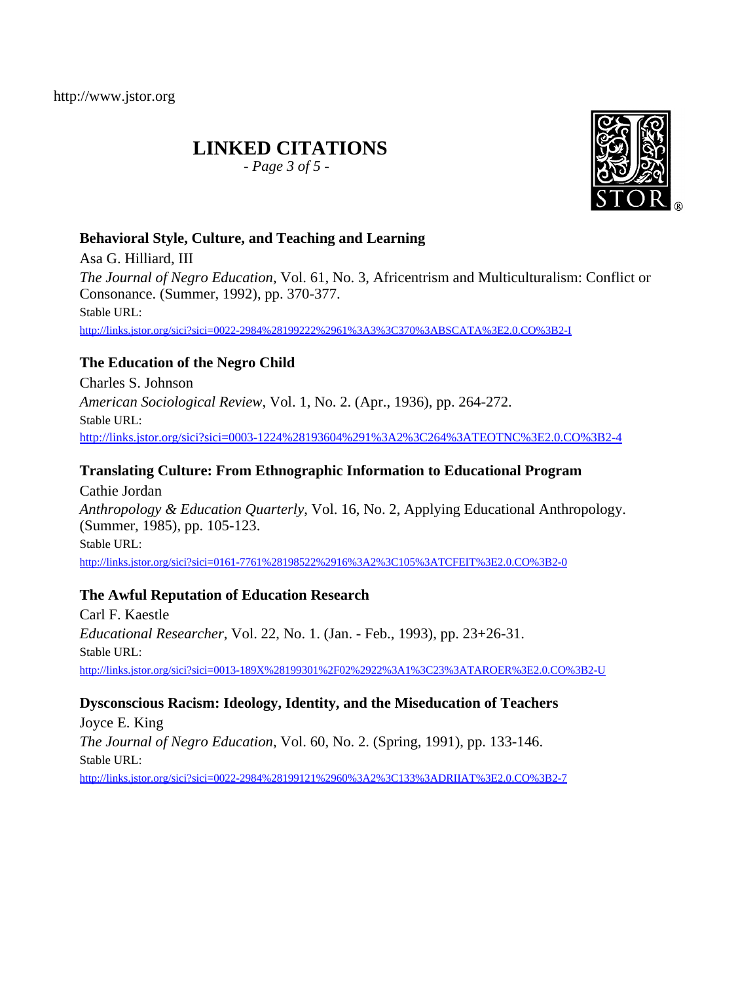# **LINKED CITATIONS**

*- Page 3 of 5 -*



## **Behavioral Style, Culture, and Teaching and Learning**

Asa G. Hilliard, III *The Journal of Negro Education*, Vol. 61, No. 3, Africentrism and Multiculturalism: Conflict or Consonance. (Summer, 1992), pp. 370-377. Stable URL: [http://links.jstor.org/sici?sici=0022-2984%28199222%2961%3A3%3C370%3ABSCATA%3E2.0.CO%3B2-I](http://links.jstor.org/sici?sici=0022-2984%28199222%2961%3A3%3C370%3ABSCATA%3E2.0.CO%3B2-I&origin=JSTOR-pdf)

## **The Education of the Negro Child**

Charles S. Johnson *American Sociological Review*, Vol. 1, No. 2. (Apr., 1936), pp. 264-272. Stable URL: [http://links.jstor.org/sici?sici=0003-1224%28193604%291%3A2%3C264%3ATEOTNC%3E2.0.CO%3B2-4](http://links.jstor.org/sici?sici=0003-1224%28193604%291%3A2%3C264%3ATEOTNC%3E2.0.CO%3B2-4&origin=JSTOR-pdf)

## **Translating Culture: From Ethnographic Information to Educational Program**

Cathie Jordan *Anthropology & Education Quarterly*, Vol. 16, No. 2, Applying Educational Anthropology. (Summer, 1985), pp. 105-123. Stable URL: [http://links.jstor.org/sici?sici=0161-7761%28198522%2916%3A2%3C105%3ATCFEIT%3E2.0.CO%3B2-0](http://links.jstor.org/sici?sici=0161-7761%28198522%2916%3A2%3C105%3ATCFEIT%3E2.0.CO%3B2-0&origin=JSTOR-pdf)

## **The Awful Reputation of Education Research**

Carl F. Kaestle *Educational Researcher*, Vol. 22, No. 1. (Jan. - Feb., 1993), pp. 23+26-31. Stable URL: [http://links.jstor.org/sici?sici=0013-189X%28199301%2F02%2922%3A1%3C23%3ATAROER%3E2.0.CO%3B2-U](http://links.jstor.org/sici?sici=0013-189X%28199301%2F02%2922%3A1%3C23%3ATAROER%3E2.0.CO%3B2-U&origin=JSTOR-pdf)

## **Dysconscious Racism: Ideology, Identity, and the Miseducation of Teachers**

Joyce E. King *The Journal of Negro Education*, Vol. 60, No. 2. (Spring, 1991), pp. 133-146. Stable URL: [http://links.jstor.org/sici?sici=0022-2984%28199121%2960%3A2%3C133%3ADRIIAT%3E2.0.CO%3B2-7](http://links.jstor.org/sici?sici=0022-2984%28199121%2960%3A2%3C133%3ADRIIAT%3E2.0.CO%3B2-7&origin=JSTOR-pdf)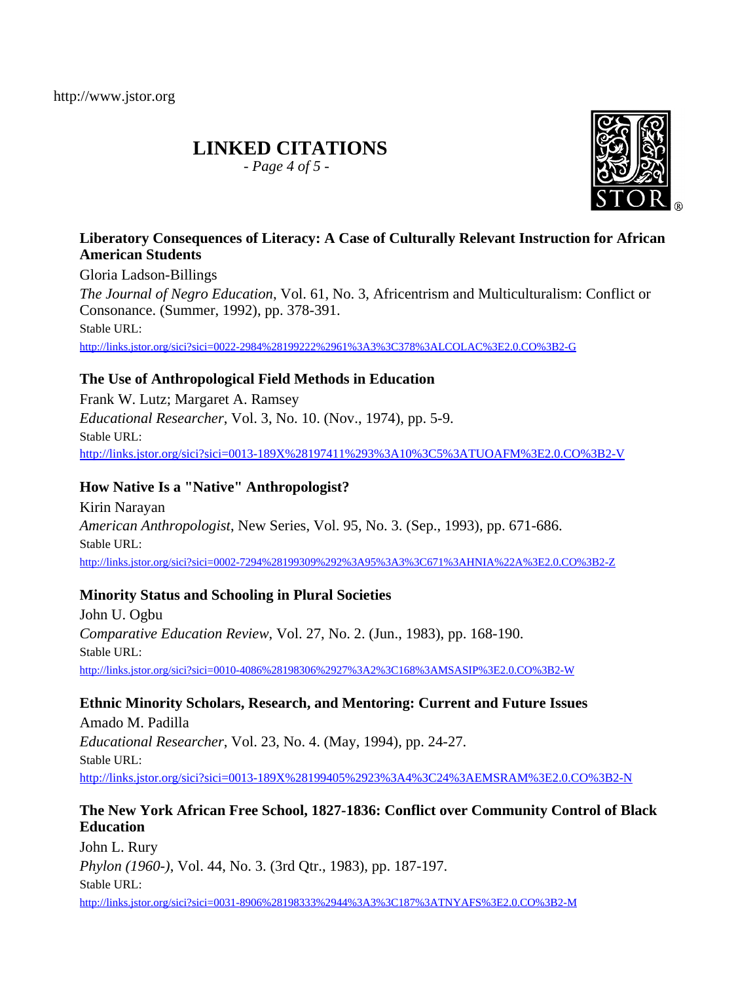# **LINKED CITATIONS**

*- Page 4 of 5 -*



## **Liberatory Consequences of Literacy: A Case of Culturally Relevant Instruction for African American Students**

Gloria Ladson-Billings *The Journal of Negro Education*, Vol. 61, No. 3, Africentrism and Multiculturalism: Conflict or Consonance. (Summer, 1992), pp. 378-391. Stable URL: [http://links.jstor.org/sici?sici=0022-2984%28199222%2961%3A3%3C378%3ALCOLAC%3E2.0.CO%3B2-G](http://links.jstor.org/sici?sici=0022-2984%28199222%2961%3A3%3C378%3ALCOLAC%3E2.0.CO%3B2-G&origin=JSTOR-pdf)

## **The Use of Anthropological Field Methods in Education**

Frank W. Lutz; Margaret A. Ramsey *Educational Researcher*, Vol. 3, No. 10. (Nov., 1974), pp. 5-9. Stable URL: [http://links.jstor.org/sici?sici=0013-189X%28197411%293%3A10%3C5%3ATUOAFM%3E2.0.CO%3B2-V](http://links.jstor.org/sici?sici=0013-189X%28197411%293%3A10%3C5%3ATUOAFM%3E2.0.CO%3B2-V&origin=JSTOR-pdf)

## **How Native Is a "Native" Anthropologist?**

Kirin Narayan *American Anthropologist*, New Series, Vol. 95, No. 3. (Sep., 1993), pp. 671-686. Stable URL: [http://links.jstor.org/sici?sici=0002-7294%28199309%292%3A95%3A3%3C671%3AHNIA%22A%3E2.0.CO%3B2-Z](http://links.jstor.org/sici?sici=0002-7294%28199309%292%3A95%3A3%3C671%3AHNIA%22A%3E2.0.CO%3B2-Z&origin=JSTOR-pdf)

## **Minority Status and Schooling in Plural Societies**

John U. Ogbu *Comparative Education Review*, Vol. 27, No. 2. (Jun., 1983), pp. 168-190. Stable URL: [http://links.jstor.org/sici?sici=0010-4086%28198306%2927%3A2%3C168%3AMSASIP%3E2.0.CO%3B2-W](http://links.jstor.org/sici?sici=0010-4086%28198306%2927%3A2%3C168%3AMSASIP%3E2.0.CO%3B2-W&origin=JSTOR-pdf)

## **Ethnic Minority Scholars, Research, and Mentoring: Current and Future Issues**

Amado M. Padilla *Educational Researcher*, Vol. 23, No. 4. (May, 1994), pp. 24-27. Stable URL: [http://links.jstor.org/sici?sici=0013-189X%28199405%2923%3A4%3C24%3AEMSRAM%3E2.0.CO%3B2-N](http://links.jstor.org/sici?sici=0013-189X%28199405%2923%3A4%3C24%3AEMSRAM%3E2.0.CO%3B2-N&origin=JSTOR-pdf)

## **The New York African Free School, 1827-1836: Conflict over Community Control of Black Education**

John L. Rury *Phylon (1960-)*, Vol. 44, No. 3. (3rd Qtr., 1983), pp. 187-197. Stable URL: [http://links.jstor.org/sici?sici=0031-8906%28198333%2944%3A3%3C187%3ATNYAFS%3E2.0.CO%3B2-M](http://links.jstor.org/sici?sici=0031-8906%28198333%2944%3A3%3C187%3ATNYAFS%3E2.0.CO%3B2-M&origin=JSTOR-pdf)